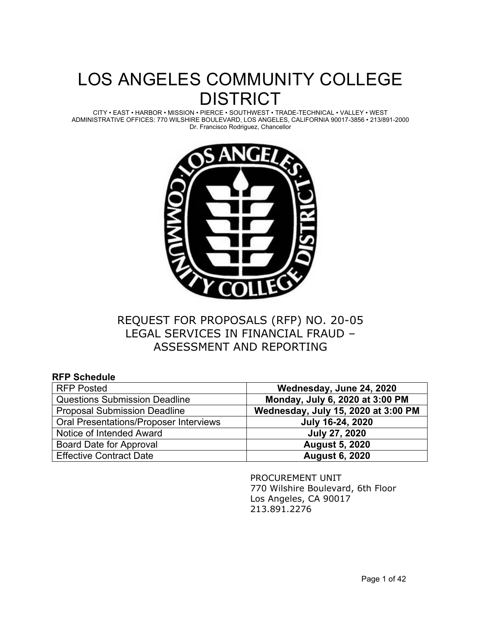# LOS ANGELES COMMUNITY COLLEGE DISTRICT

CITY • EAST • HARBOR • MISSION • PIERCE • SOUTHWEST • TRADE-TECHNICAL • VALLEY • WEST ADMINISTRATIVE OFFICES: 770 WILSHIRE BOULEVARD, LOS ANGELES, CALIFORNIA 90017-3856 • 213/891-2000 Dr. Francisco Rodriguez, Chancellor



# REQUEST FOR PROPOSALS (RFP) NO. 20-05 LEGAL SERVICES IN FINANCIAL FRAUD – ASSESSMENT AND REPORTING

| <b>RFP Schedule</b>                           |                                     |
|-----------------------------------------------|-------------------------------------|
| <b>RFP Posted</b>                             | Wednesday, June 24, 2020            |
| <b>Questions Submission Deadline</b>          | Monday, July 6, 2020 at 3:00 PM     |
| <b>Proposal Submission Deadline</b>           | Wednesday, July 15, 2020 at 3:00 PM |
| <b>Oral Presentations/Proposer Interviews</b> | July 16-24, 2020                    |
| Notice of Intended Award                      | <b>July 27, 2020</b>                |
| Board Date for Approval                       | <b>August 5, 2020</b>               |
| <b>Effective Contract Date</b>                | <b>August 6, 2020</b>               |

PROCUREMENT UNIT 770 Wilshire Boulevard, 6th Floor Los Angeles, CA 90017 213.891.2276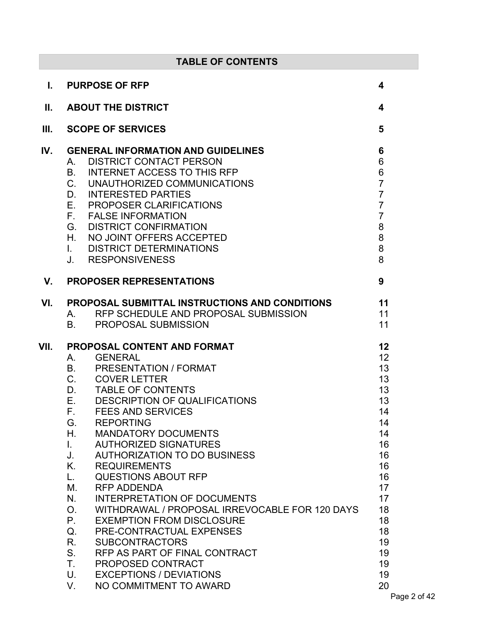| <b>TABLE OF CONTENTS</b> |                                                                                                                                                                                                                                                                                                                                                                                                                                                                                                                                                                                                                                                                                                                                                                                                                                                           |                                                                                                                                                     |
|--------------------------|-----------------------------------------------------------------------------------------------------------------------------------------------------------------------------------------------------------------------------------------------------------------------------------------------------------------------------------------------------------------------------------------------------------------------------------------------------------------------------------------------------------------------------------------------------------------------------------------------------------------------------------------------------------------------------------------------------------------------------------------------------------------------------------------------------------------------------------------------------------|-----------------------------------------------------------------------------------------------------------------------------------------------------|
| L.                       | <b>PURPOSE OF RFP</b>                                                                                                                                                                                                                                                                                                                                                                                                                                                                                                                                                                                                                                                                                                                                                                                                                                     | 4                                                                                                                                                   |
| Ш.                       | <b>ABOUT THE DISTRICT</b>                                                                                                                                                                                                                                                                                                                                                                                                                                                                                                                                                                                                                                                                                                                                                                                                                                 | 4                                                                                                                                                   |
| III.                     | <b>SCOPE OF SERVICES</b>                                                                                                                                                                                                                                                                                                                                                                                                                                                                                                                                                                                                                                                                                                                                                                                                                                  | 5                                                                                                                                                   |
| IV.                      | <b>GENERAL INFORMATION AND GUIDELINES</b><br><b>DISTRICT CONTACT PERSON</b><br>А.<br><b>INTERNET ACCESS TO THIS RFP</b><br>В.<br>C. UNAUTHORIZED COMMUNICATIONS<br><b>INTERESTED PARTIES</b><br>D.<br>E.<br><b>PROPOSER CLARIFICATIONS</b><br>F. FALSE INFORMATION<br>G.<br><b>DISTRICT CONFIRMATION</b><br>H.<br>NO JOINT OFFERS ACCEPTED<br><b>DISTRICT DETERMINATIONS</b><br>$\mathbf{L}$<br>J.<br><b>RESPONSIVENESS</b>                                                                                                                                                                                                                                                                                                                                                                                                                               | 6<br>$\,6$<br>$\frac{6}{7}$<br>$\overline{7}$<br>$\overline{7}$<br>$\overline{7}$<br>$\bf 8$<br>8<br>8<br>8                                         |
| V.                       | <b>PROPOSER REPRESENTATIONS</b>                                                                                                                                                                                                                                                                                                                                                                                                                                                                                                                                                                                                                                                                                                                                                                                                                           | 9                                                                                                                                                   |
| VI.                      | PROPOSAL SUBMITTAL INSTRUCTIONS AND CONDITIONS<br>RFP SCHEDULE AND PROPOSAL SUBMISSION<br>А.<br><b>PROPOSAL SUBMISSION</b><br><b>B.</b>                                                                                                                                                                                                                                                                                                                                                                                                                                                                                                                                                                                                                                                                                                                   | 11<br>11<br>11                                                                                                                                      |
| VII.                     | <b>PROPOSAL CONTENT AND FORMAT</b><br><b>GENERAL</b><br>A.<br><b>PRESENTATION / FORMAT</b><br><b>B.</b><br>C. COVER LETTER<br>D. TABLE OF CONTENTS<br>DESCRIPTION OF QUALIFICATIONS<br>F.<br><b>FEES AND SERVICES</b><br>G.<br><b>REPORTING</b><br><b>MANDATORY DOCUMENTS</b><br>Н.<br><b>AUTHORIZED SIGNATURES</b><br>$\mathbf{L}$<br>J.<br><b>AUTHORIZATION TO DO BUSINESS</b><br>Κ.<br><b>REQUIREMENTS</b><br><b>QUESTIONS ABOUT RFP</b><br>L.<br><b>RFP ADDENDA</b><br>М.<br>N.<br><b>INTERPRETATION OF DOCUMENTS</b><br>WITHDRAWAL / PROPOSAL IRREVOCABLE FOR 120 DAYS<br>$O_{1}$<br>$P_{\cdot}$<br><b>EXEMPTION FROM DISCLOSURE</b><br>PRE-CONTRACTUAL EXPENSES<br>Q.<br>R.<br><b>SUBCONTRACTORS</b><br>$S_{-}$<br>RFP AS PART OF FINAL CONTRACT<br>T.<br>PROPOSED CONTRACT<br>U.<br><b>EXCEPTIONS / DEVIATIONS</b><br>NO COMMITMENT TO AWARD<br>V. | 12<br>12 <sup>2</sup><br>13<br>13<br>13<br>13<br>14<br>14<br>14<br>16<br>16<br>16<br>16<br>17<br>17<br>18<br>18<br>18<br>19<br>19<br>19<br>19<br>20 |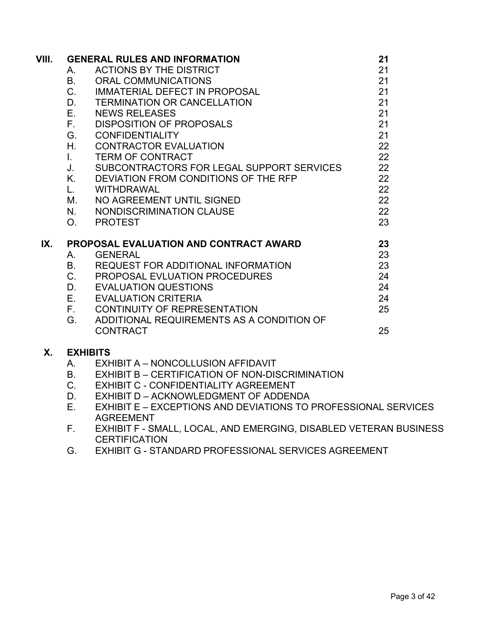| VIII. |                | <b>GENERAL RULES AND INFORMATION</b>                    | 21 |
|-------|----------------|---------------------------------------------------------|----|
|       | А.             | <b>ACTIONS BY THE DISTRICT</b>                          | 21 |
|       | В.             | <b>ORAL COMMUNICATIONS</b>                              | 21 |
|       | C.             | <b>IMMATERIAL DEFECT IN PROPOSAL</b>                    | 21 |
|       | D.             | <b>TERMINATION OR CANCELLATION</b>                      | 21 |
|       | Е.             | <b>NEWS RELEASES</b>                                    | 21 |
|       | F.,            | <b>DISPOSITION OF PROPOSALS</b>                         | 21 |
|       | G.             | <b>CONFIDENTIALITY</b>                                  | 21 |
|       | Η.             | <b>CONTRACTOR EVALUATION</b>                            | 22 |
|       | $\mathbf{L}$   | <b>TERM OF CONTRACT</b>                                 | 22 |
|       | J.             | SUBCONTRACTORS FOR LEGAL SUPPORT SERVICES               | 22 |
|       | Κ.             | DEVIATION FROM CONDITIONS OF THE RFP                    | 22 |
|       | L.             | <b>WITHDRAWAL</b>                                       | 22 |
|       | М.             | NO AGREEMENT UNTIL SIGNED                               | 22 |
|       | N.             | NONDISCRIMINATION CLAUSE                                | 22 |
|       | O <sub>1</sub> | <b>PROTEST</b>                                          | 23 |
| IX.   |                | <b>PROPOSAL EVALUATION AND CONTRACT AWARD</b>           | 23 |
|       | Α.             | <b>GENERAL</b>                                          | 23 |
|       | <b>B.</b>      | <b>REQUEST FOR ADDITIONAL INFORMATION</b>               | 23 |
|       | C.             | PROPOSAL EVLUATION PROCEDURES                           | 24 |
|       | D.             | <b>EVALUATION QUESTIONS</b>                             | 24 |
|       | E.             | <b>EVALUATION CRITERIA</b>                              | 24 |
|       | F.             | CONTINUITY OF REPRESENTATION                            | 25 |
|       | G.             | ADDITIONAL REQUIREMENTS AS A CONDITION OF               |    |
|       |                | <b>CONTRACT</b>                                         | 25 |
| Χ.    |                | <b>EXHIBITS</b>                                         |    |
|       | A.             | EXHIBIT A - NONCOLLUSION AFFIDAVIT                      |    |
|       | D.             | <b>EVILIDIT D. CEDTIFICATION OF NON DICODIMINATION.</b> |    |

- B. EXHIBIT B CERTIFICATION OF NON-DISCRIMINATION C. EXHIBIT C - CONFIDENTIALITY AGREEMENT
- D. EXHIBIT D ACKNOWLEDGMENT OF ADDENDA
- E. EXHIBIT E EXCEPTIONS AND DEVIATIONS TO PROFESSIONAL SERVICES AGREEMENT
- F. EXHIBIT F SMALL, LOCAL, AND EMERGING, DISABLED VETERAN BUSINESS **CERTIFICATION**
- G. EXHIBIT G STANDARD PROFESSIONAL SERVICES AGREEMENT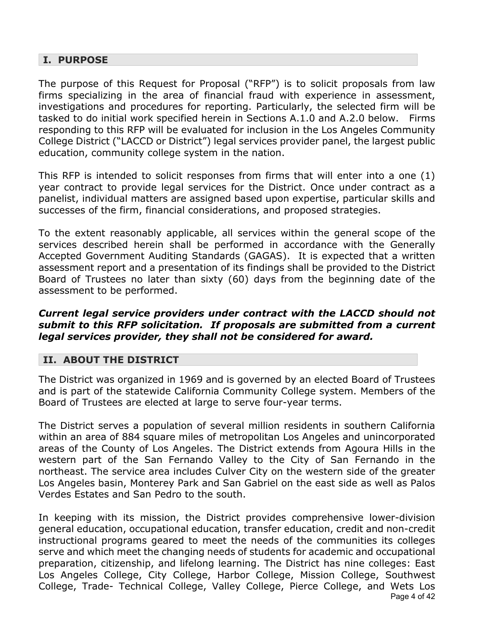#### **I. PURPOSE**

The purpose of this Request for Proposal ("RFP") is to solicit proposals from law firms specializing in the area of financial fraud with experience in assessment, investigations and procedures for reporting. Particularly, the selected firm will be tasked to do initial work specified herein in Sections A.1.0 and A.2.0 below. Firms responding to this RFP will be evaluated for inclusion in the Los Angeles Community College District ("LACCD or District") legal services provider panel, the largest public education, community college system in the nation.

This RFP is intended to solicit responses from firms that will enter into a one (1) year contract to provide legal services for the District. Once under contract as a panelist, individual matters are assigned based upon expertise, particular skills and successes of the firm, financial considerations, and proposed strategies.

To the extent reasonably applicable, all services within the general scope of the services described herein shall be performed in accordance with the Generally Accepted Government Auditing Standards (GAGAS). It is expected that a written assessment report and a presentation of its findings shall be provided to the District Board of Trustees no later than sixty (60) days from the beginning date of the assessment to be performed.

#### *Current legal service providers under contract with the LACCD should not submit to this RFP solicitation. If proposals are submitted from a current legal services provider, they shall not be considered for award.*

#### **II. ABOUT THE DISTRICT**

The District was organized in 1969 and is governed by an elected Board of Trustees and is part of the statewide California Community College system. Members of the Board of Trustees are elected at large to serve four-year terms.

The District serves a population of several million residents in southern California within an area of 884 square miles of metropolitan Los Angeles and unincorporated areas of the County of Los Angeles. The District extends from Agoura Hills in the western part of the San Fernando Valley to the City of San Fernando in the northeast. The service area includes Culver City on the western side of the greater Los Angeles basin, Monterey Park and San Gabriel on the east side as well as Palos Verdes Estates and San Pedro to the south.

Page 4 of 42 In keeping with its mission, the District provides comprehensive lower-division general education, occupational education, transfer education, credit and non-credit instructional programs geared to meet the needs of the communities its colleges serve and which meet the changing needs of students for academic and occupational preparation, citizenship, and lifelong learning. The District has nine colleges: East Los Angeles College, City College, Harbor College, Mission College, Southwest College, Trade- Technical College, Valley College, Pierce College, and Wets Los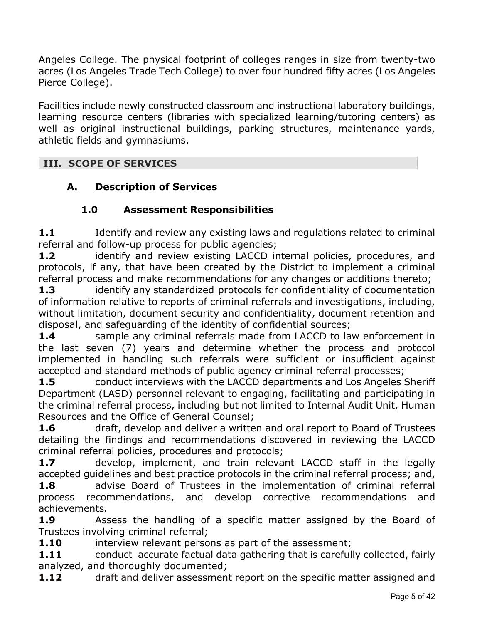Angeles College. The physical footprint of colleges ranges in size from twenty-two acres (Los Angeles Trade Tech College) to over four hundred fifty acres (Los Angeles Pierce College).

Facilities include newly constructed classroom and instructional laboratory buildings, learning resource centers (libraries with specialized learning/tutoring centers) as well as original instructional buildings, parking structures, maintenance yards, athletic fields and gymnasiums.

## **III. SCOPE OF SERVICES**

## **A. Description of Services**

## **1.0 Assessment Responsibilities**

**1.1** Identify and review any existing laws and regulations related to criminal referral and follow-up process for public agencies;

**1.2** identify and review existing LACCD internal policies, procedures, and protocols, if any, that have been created by the District to implement a criminal referral process and make recommendations for any changes or additions thereto;

**1.3** identify any standardized protocols for confidentiality of documentation of information relative to reports of criminal referrals and investigations, including, without limitation, document security and confidentiality, document retention and disposal, and safeguarding of the identity of confidential sources;

**1.4** Sample any criminal referrals made from LACCD to law enforcement in the last seven (7) years and determine whether the process and protocol implemented in handling such referrals were sufficient or insufficient against accepted and standard methods of public agency criminal referral processes;

**1.5** conduct interviews with the LACCD departments and Los Angeles Sheriff Department (LASD) personnel relevant to engaging, facilitating and participating in the criminal referral process, including but not limited to Internal Audit Unit, Human Resources and the Office of General Counsel;

**1.6** draft, develop and deliver a written and oral report to Board of Trustees detailing the findings and recommendations discovered in reviewing the LACCD criminal referral policies, procedures and protocols;

**1.7** develop, implement, and train relevant LACCD staff in the legally accepted guidelines and best practice protocols in the criminal referral process; and,

1.8 advise Board of Trustees in the implementation of criminal referral process recommendations, and develop corrective recommendations and achievements.

**1.9** Assess the handling of a specific matter assigned by the Board of Trustees involving criminal referral;

**1.10** interview relevant persons as part of the assessment;

**1.11 conduct accurate factual data gathering that is carefully collected, fairly** analyzed, and thoroughly documented;

**1.12** draft and deliver assessment report on the specific matter assigned and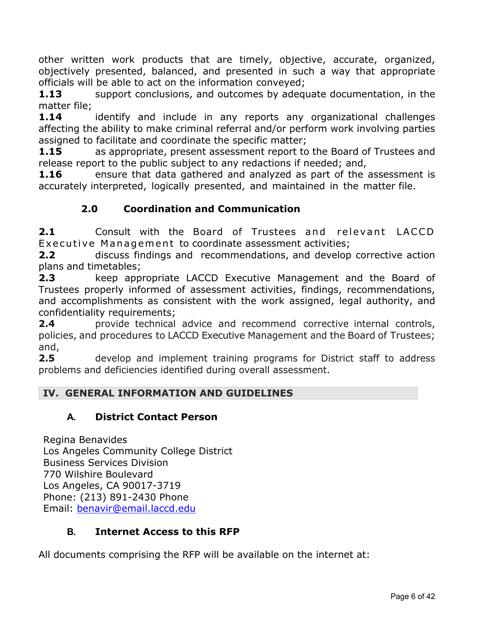other written work products that are timely, objective, accurate, organized, objectively presented, balanced, and presented in such a way that appropriate officials will be able to act on the information conveyed;

**1.13** support conclusions, and outcomes by adequate documentation, in the matter file;

**1.14** identify and include in any reports any organizational challenges affecting the ability to make criminal referral and/or perform work involving parties assigned to facilitate and coordinate the specific matter;

**1.15** as appropriate, present assessment report to the Board of Trustees and release report to the public subject to any redactions if needed; and,

**1.16** ensure that data gathered and analyzed as part of the assessment is accurately interpreted, logically presented, and maintained in the matter file.

# **2.0 Coordination and Communication**

**2.1** Consult with the Board of Trustees and relevant LACCD Executive Management to coordinate assessment activities;

**2.2** discuss findings and recommendations, and develop corrective action plans and timetables;

**2.3** keep appropriate LACCD Executive Management and the Board of Trustees properly informed of assessment activities, findings, recommendations, and accomplishments as consistent with the work assigned, legal authority, and confidentiality requirements;

**2.4** provide technical advice and recommend corrective internal controls, policies, and procedures to LACCD Executive Management and the Board of Trustees; and,

**2.5** develop and implement training programs for District staff to address problems and deficiencies identified during overall assessment.

## **IV. GENERAL INFORMATION AND GUIDELINES**

## **A. District Contact Person**

Regina Benavides Los Angeles Community College District Business Services Division 770 Wilshire Boulevard Los Angeles, CA 90017-3719 Phone: (213) 891-2430 Phone Email: [benavir@email.laccd.edu](mailto:benavir@email.laccd.edu)

## **B. Internet Access to this RFP**

All documents comprising the RFP will be available on the internet at: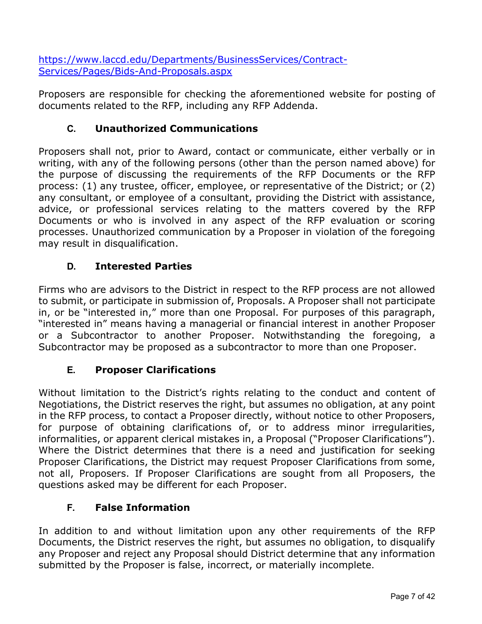[https://www.laccd.edu/Departments/BusinessServices/Contract-](https://www.laccd.edu/Departments/BusinessServices/Contract-Services/Pages/Bids-And-Proposals.aspx)[Services/Pages/Bids-And-Proposals.aspx](https://www.laccd.edu/Departments/BusinessServices/Contract-Services/Pages/Bids-And-Proposals.aspx)

Proposers are responsible for checking the aforementioned website for posting of documents related to the RFP, including any RFP Addenda.

## **C. Unauthorized Communications**

Proposers shall not, prior to Award, contact or communicate, either verbally or in writing, with any of the following persons (other than the person named above) for the purpose of discussing the requirements of the RFP Documents or the RFP process: (1) any trustee, officer, employee, or representative of the District; or (2) any consultant, or employee of a consultant, providing the District with assistance, advice, or professional services relating to the matters covered by the RFP Documents or who is involved in any aspect of the RFP evaluation or scoring processes. Unauthorized communication by a Proposer in violation of the foregoing may result in disqualification.

## **D. Interested Parties**

Firms who are advisors to the District in respect to the RFP process are not allowed to submit, or participate in submission of, Proposals. A Proposer shall not participate in, or be "interested in," more than one Proposal. For purposes of this paragraph, "interested in" means having a managerial or financial interest in another Proposer or a Subcontractor to another Proposer. Notwithstanding the foregoing, a Subcontractor may be proposed as a subcontractor to more than one Proposer.

## **E. Proposer Clarifications**

Without limitation to the District's rights relating to the conduct and content of Negotiations, the District reserves the right, but assumes no obligation, at any point in the RFP process, to contact a Proposer directly, without notice to other Proposers, for purpose of obtaining clarifications of, or to address minor irregularities, informalities, or apparent clerical mistakes in, a Proposal ("Proposer Clarifications"). Where the District determines that there is a need and justification for seeking Proposer Clarifications, the District may request Proposer Clarifications from some, not all, Proposers. If Proposer Clarifications are sought from all Proposers, the questions asked may be different for each Proposer.

## **F. False Information**

In addition to and without limitation upon any other requirements of the RFP Documents, the District reserves the right, but assumes no obligation, to disqualify any Proposer and reject any Proposal should District determine that any information submitted by the Proposer is false, incorrect, or materially incomplete.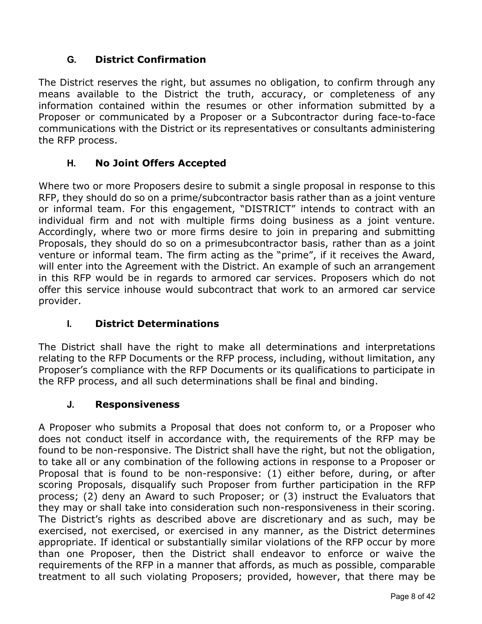## **G. District Confirmation**

The District reserves the right, but assumes no obligation, to confirm through any means available to the District the truth, accuracy, or completeness of any information contained within the resumes or other information submitted by a Proposer or communicated by a Proposer or a Subcontractor during face-to-face communications with the District or its representatives or consultants administering the RFP process.

## **H. No Joint Offers Accepted**

Where two or more Proposers desire to submit a single proposal in response to this RFP, they should do so on a prime/subcontractor basis rather than as a joint venture or informal team. For this engagement, "DISTRICT" intends to contract with an individual firm and not with multiple firms doing business as a joint venture. Accordingly, where two or more firms desire to join in preparing and submitting Proposals, they should do so on a primesubcontractor basis, rather than as a joint venture or informal team. The firm acting as the "prime", if it receives the Award, will enter into the Agreement with the District. An example of such an arrangement in this RFP would be in regards to armored car services. Proposers which do not offer this service inhouse would subcontract that work to an armored car service provider.

## **I. District Determinations**

The District shall have the right to make all determinations and interpretations relating to the RFP Documents or the RFP process, including, without limitation, any Proposer's compliance with the RFP Documents or its qualifications to participate in the RFP process, and all such determinations shall be final and binding.

#### **J. Responsiveness**

A Proposer who submits a Proposal that does not conform to, or a Proposer who does not conduct itself in accordance with, the requirements of the RFP may be found to be non-responsive. The District shall have the right, but not the obligation, to take all or any combination of the following actions in response to a Proposer or Proposal that is found to be non-responsive: (1) either before, during, or after scoring Proposals, disqualify such Proposer from further participation in the RFP process; (2) deny an Award to such Proposer; or (3) instruct the Evaluators that they may or shall take into consideration such non-responsiveness in their scoring. The District's rights as described above are discretionary and as such, may be exercised, not exercised, or exercised in any manner, as the District determines appropriate. If identical or substantially similar violations of the RFP occur by more than one Proposer, then the District shall endeavor to enforce or waive the requirements of the RFP in a manner that affords, as much as possible, comparable treatment to all such violating Proposers; provided, however, that there may be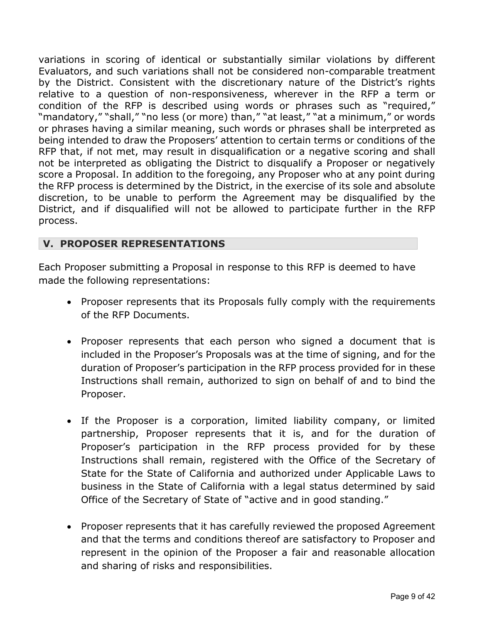variations in scoring of identical or substantially similar violations by different Evaluators, and such variations shall not be considered non-comparable treatment by the District. Consistent with the discretionary nature of the District's rights relative to a question of non-responsiveness, wherever in the RFP a term or condition of the RFP is described using words or phrases such as "required," "mandatory," "shall," "no less (or more) than," "at least," "at a minimum," or words or phrases having a similar meaning, such words or phrases shall be interpreted as being intended to draw the Proposers' attention to certain terms or conditions of the RFP that, if not met, may result in disqualification or a negative scoring and shall not be interpreted as obligating the District to disqualify a Proposer or negatively score a Proposal. In addition to the foregoing, any Proposer who at any point during the RFP process is determined by the District, in the exercise of its sole and absolute discretion, to be unable to perform the Agreement may be disqualified by the District, and if disqualified will not be allowed to participate further in the RFP process.

#### **V. PROPOSER REPRESENTATIONS**

Each Proposer submitting a Proposal in response to this RFP is deemed to have made the following representations:

- Proposer represents that its Proposals fully comply with the requirements of the RFP Documents.
- Proposer represents that each person who signed a document that is included in the Proposer's Proposals was at the time of signing, and for the duration of Proposer's participation in the RFP process provided for in these Instructions shall remain, authorized to sign on behalf of and to bind the Proposer.
- If the Proposer is a corporation, limited liability company, or limited partnership, Proposer represents that it is, and for the duration of Proposer's participation in the RFP process provided for by these Instructions shall remain, registered with the Office of the Secretary of State for the State of California and authorized under Applicable Laws to business in the State of California with a legal status determined by said Office of the Secretary of State of "active and in good standing."
- Proposer represents that it has carefully reviewed the proposed Agreement and that the terms and conditions thereof are satisfactory to Proposer and represent in the opinion of the Proposer a fair and reasonable allocation and sharing of risks and responsibilities.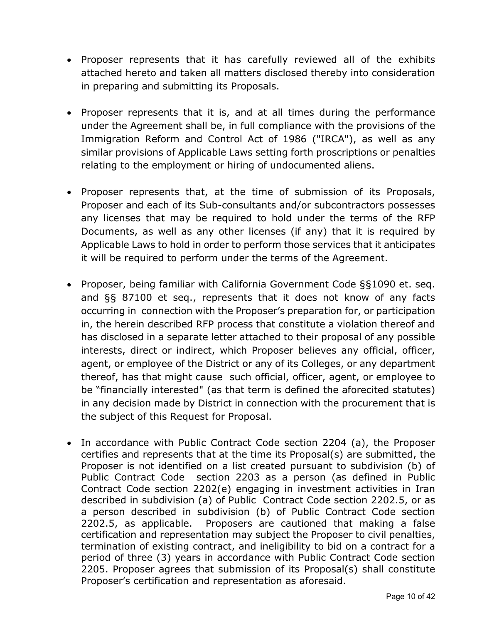- Proposer represents that it has carefully reviewed all of the exhibits attached hereto and taken all matters disclosed thereby into consideration in preparing and submitting its Proposals.
- Proposer represents that it is, and at all times during the performance under the Agreement shall be, in full compliance with the provisions of the Immigration Reform and Control Act of 1986 ("IRCA"), as well as any similar provisions of Applicable Laws setting forth proscriptions or penalties relating to the employment or hiring of undocumented aliens.
- Proposer represents that, at the time of submission of its Proposals, Proposer and each of its Sub-consultants and/or subcontractors possesses any licenses that may be required to hold under the terms of the RFP Documents, as well as any other licenses (if any) that it is required by Applicable Laws to hold in order to perform those services that it anticipates it will be required to perform under the terms of the Agreement.
- Proposer, being familiar with California Government Code §§1090 et. seq. and §§ 87100 et seq., represents that it does not know of any facts occurring in connection with the Proposer's preparation for, or participation in, the herein described RFP process that constitute a violation thereof and has disclosed in a separate letter attached to their proposal of any possible interests, direct or indirect, which Proposer believes any official, officer, agent, or employee of the District or any of its Colleges, or any department thereof, has that might cause such official, officer, agent, or employee to be "financially interested" (as that term is defined the aforecited statutes) in any decision made by District in connection with the procurement that is the subject of this Request for Proposal.
- In accordance with Public Contract Code section 2204 (a), the Proposer certifies and represents that at the time its Proposal(s) are submitted, the Proposer is not identified on a list created pursuant to subdivision (b) of Public Contract Code section 2203 as a person (as defined in Public Contract Code section 2202(e) engaging in investment activities in Iran described in subdivision (a) of Public Contract Code section 2202.5, or as a person described in subdivision (b) of Public Contract Code section 2202.5, as applicable. Proposers are cautioned that making a false certification and representation may subject the Proposer to civil penalties, termination of existing contract, and ineligibility to bid on a contract for a period of three (3) years in accordance with Public Contract Code section 2205. Proposer agrees that submission of its Proposal(s) shall constitute Proposer's certification and representation as aforesaid.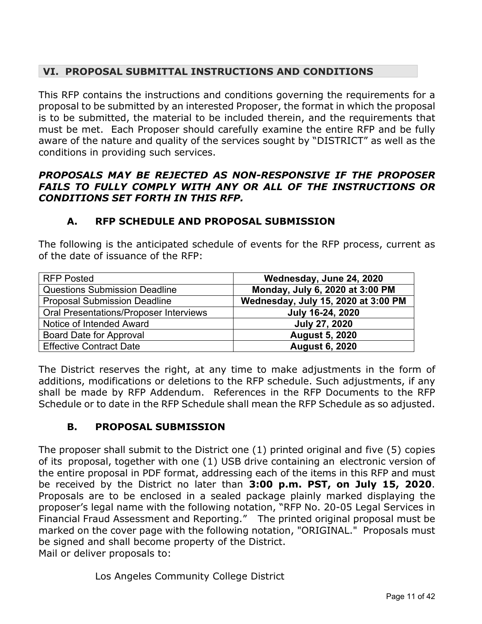## **VI. PROPOSAL SUBMITTAL INSTRUCTIONS AND CONDITIONS**

This RFP contains the instructions and conditions governing the requirements for a proposal to be submitted by an interested Proposer, the format in which the proposal is to be submitted, the material to be included therein, and the requirements that must be met. Each Proposer should carefully examine the entire RFP and be fully aware of the nature and quality of the services sought by "DISTRICT" as well as the conditions in providing such services.

#### *PROPOSALS MAY BE REJECTED AS NON-RESPONSIVE IF THE PROPOSER FAILS TO FULLY COMPLY WITH ANY OR ALL OF THE INSTRUCTIONS OR CONDITIONS SET FORTH IN THIS RFP.*

## **A. RFP SCHEDULE AND PROPOSAL SUBMISSION**

The following is the anticipated schedule of events for the RFP process, current as of the date of issuance of the RFP:

| <b>RFP Posted</b>                             | Wednesday, June 24, 2020            |
|-----------------------------------------------|-------------------------------------|
| <b>Questions Submission Deadline</b>          | Monday, July 6, 2020 at 3:00 PM     |
| <b>Proposal Submission Deadline</b>           | Wednesday, July 15, 2020 at 3:00 PM |
| <b>Oral Presentations/Proposer Interviews</b> | July 16-24, 2020                    |
| Notice of Intended Award                      | <b>July 27, 2020</b>                |
| Board Date for Approval                       | <b>August 5, 2020</b>               |
| <b>Effective Contract Date</b>                | <b>August 6, 2020</b>               |

The District reserves the right, at any time to make adjustments in the form of additions, modifications or deletions to the RFP schedule. Such adjustments, if any shall be made by RFP Addendum. References in the RFP Documents to the RFP Schedule or to date in the RFP Schedule shall mean the RFP Schedule as so adjusted.

## **B. PROPOSAL SUBMISSION**

The proposer shall submit to the District one (1) printed original and five (5) copies of its proposal, together with one (1) USB drive containing an electronic version of the entire proposal in PDF format, addressing each of the items in this RFP and must be received by the District no later than **3:00 p.m. PST, on July 15, 2020**. Proposals are to be enclosed in a sealed package plainly marked displaying the proposer's legal name with the following notation, "RFP No. 20-05 Legal Services in Financial Fraud Assessment and Reporting." The printed original proposal must be marked on the cover page with the following notation, "ORIGINAL." Proposals must be signed and shall become property of the District. Mail or deliver proposals to:

Los Angeles Community College District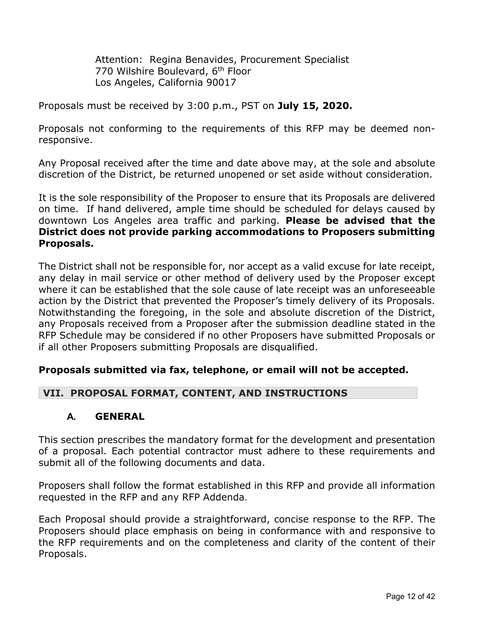Attention: Regina Benavides, Procurement Specialist 770 Wilshire Boulevard, 6th Floor Los Angeles, California 90017

Proposals must be received by 3:00 p.m., PST on **July 15, 2020.**

Proposals not conforming to the requirements of this RFP may be deemed nonresponsive.

Any Proposal received after the time and date above may, at the sole and absolute discretion of the District, be returned unopened or set aside without consideration.

It is the sole responsibility of the Proposer to ensure that its Proposals are delivered on time. If hand delivered, ample time should be scheduled for delays caused by downtown Los Angeles area traffic and parking. **Please be advised that the District does not provide parking accommodations to Proposers submitting Proposals.**

The District shall not be responsible for, nor accept as a valid excuse for late receipt, any delay in mail service or other method of delivery used by the Proposer except where it can be established that the sole cause of late receipt was an unforeseeable action by the District that prevented the Proposer's timely delivery of its Proposals. Notwithstanding the foregoing, in the sole and absolute discretion of the District, any Proposals received from a Proposer after the submission deadline stated in the RFP Schedule may be considered if no other Proposers have submitted Proposals or if all other Proposers submitting Proposals are disqualified.

#### **Proposals submitted via fax, telephone, or email will not be accepted.**

#### **VII. PROPOSAL FORMAT, CONTENT, AND INSTRUCTIONS**

#### **A. GENERAL**

This section prescribes the mandatory format for the development and presentation of a proposal. Each potential contractor must adhere to these requirements and submit all of the following documents and data.

Proposers shall follow the format established in this RFP and provide all information requested in the RFP and any RFP Addenda.

Each Proposal should provide a straightforward, concise response to the RFP. The Proposers should place emphasis on being in conformance with and responsive to the RFP requirements and on the completeness and clarity of the content of their Proposals.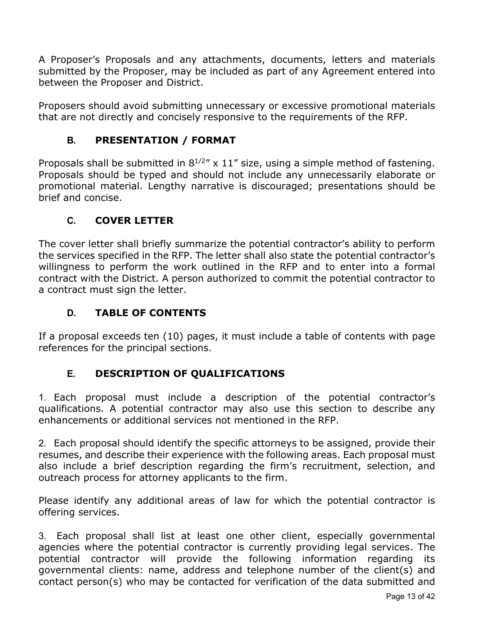A Proposer's Proposals and any attachments, documents, letters and materials submitted by the Proposer, may be included as part of any Agreement entered into between the Proposer and District.

Proposers should avoid submitting unnecessary or excessive promotional materials that are not directly and concisely responsive to the requirements of the RFP.

# **B. PRESENTATION / FORMAT**

Proposals shall be submitted in  $8^{1/2}$ " x 11" size, using a simple method of fastening. Proposals should be typed and should not include any unnecessarily elaborate or promotional material. Lengthy narrative is discouraged; presentations should be brief and concise.

#### **C. COVER LETTER**

The cover letter shall briefly summarize the potential contractor's ability to perform the services specified in the RFP. The letter shall also state the potential contractor's willingness to perform the work outlined in the RFP and to enter into a formal contract with the District. A person authorized to commit the potential contractor to a contract must sign the letter.

## **D. TABLE OF CONTENTS**

If a proposal exceeds ten (10) pages, it must include a table of contents with page references for the principal sections.

## **E. DESCRIPTION OF QUALIFICATIONS**

1. Each proposal must include a description of the potential contractor's qualifications. A potential contractor may also use this section to describe any enhancements or additional services not mentioned in the RFP.

2. Each proposal should identify the specific attorneys to be assigned, provide their resumes, and describe their experience with the following areas. Each proposal must also include a brief description regarding the firm's recruitment, selection, and outreach process for attorney applicants to the firm.

Please identify any additional areas of law for which the potential contractor is offering services.

3. Each proposal shall list at least one other client, especially governmental agencies where the potential contractor is currently providing legal services. The potential contractor will provide the following information regarding its governmental clients: name, address and telephone number of the client(s) and contact person(s) who may be contacted for verification of the data submitted and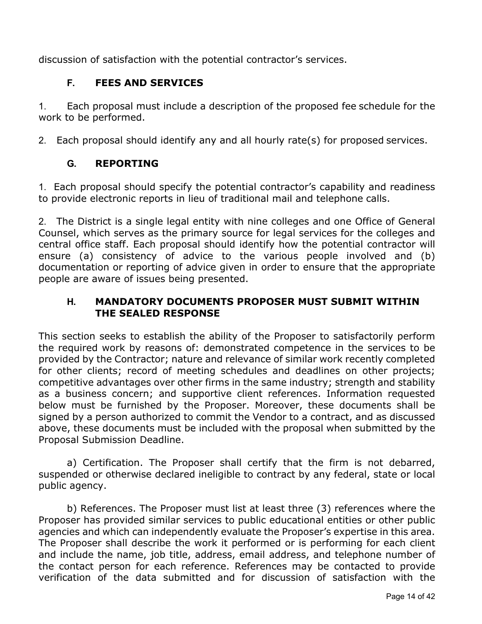discussion of satisfaction with the potential contractor's services.

# **F. FEES AND SERVICES**

1. Each proposal must include a description of the proposed fee schedule for the work to be performed.

2. Each proposal should identify any and all hourly rate(s) for proposed services.

# **G. REPORTING**

1. Each proposal should specify the potential contractor's capability and readiness to provide electronic reports in lieu of traditional mail and telephone calls.

2. The District is a single legal entity with nine colleges and one Office of General Counsel, which serves as the primary source for legal services for the colleges and central office staff. Each proposal should identify how the potential contractor will ensure (a) consistency of advice to the various people involved and (b) documentation or reporting of advice given in order to ensure that the appropriate people are aware of issues being presented.

#### **H. MANDATORY DOCUMENTS PROPOSER MUST SUBMIT WITHIN THE SEALED RESPONSE**

This section seeks to establish the ability of the Proposer to satisfactorily perform the required work by reasons of: demonstrated competence in the services to be provided by the Contractor; nature and relevance of similar work recently completed for other clients; record of meeting schedules and deadlines on other projects; competitive advantages over other firms in the same industry; strength and stability as a business concern; and supportive client references. Information requested below must be furnished by the Proposer. Moreover, these documents shall be signed by a person authorized to commit the Vendor to a contract, and as discussed above, these documents must be included with the proposal when submitted by the Proposal Submission Deadline.

a) Certification. The Proposer shall certify that the firm is not debarred, suspended or otherwise declared ineligible to contract by any federal, state or local public agency.

b) References. The Proposer must list at least three (3) references where the Proposer has provided similar services to public educational entities or other public agencies and which can independently evaluate the Proposer's expertise in this area. The Proposer shall describe the work it performed or is performing for each client and include the name, job title, address, email address, and telephone number of the contact person for each reference. References may be contacted to provide verification of the data submitted and for discussion of satisfaction with the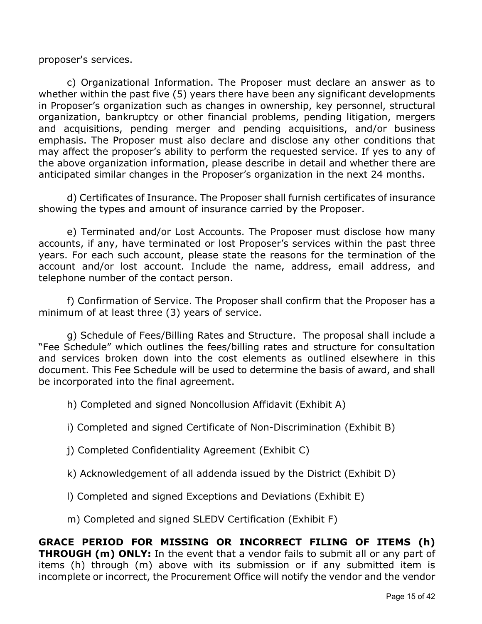proposer's services.

c) Organizational Information. The Proposer must declare an answer as to whether within the past five (5) years there have been any significant developments in Proposer's organization such as changes in ownership, key personnel, structural organization, bankruptcy or other financial problems, pending litigation, mergers and acquisitions, pending merger and pending acquisitions, and/or business emphasis. The Proposer must also declare and disclose any other conditions that may affect the proposer's ability to perform the requested service. If yes to any of the above organization information, please describe in detail and whether there are anticipated similar changes in the Proposer's organization in the next 24 months.

d) Certificates of Insurance. The Proposer shall furnish certificates of insurance showing the types and amount of insurance carried by the Proposer.

e) Terminated and/or Lost Accounts. The Proposer must disclose how many accounts, if any, have terminated or lost Proposer's services within the past three years. For each such account, please state the reasons for the termination of the account and/or lost account. Include the name, address, email address, and telephone number of the contact person.

f) Confirmation of Service. The Proposer shall confirm that the Proposer has a minimum of at least three (3) years of service.

g) Schedule of Fees/Billing Rates and Structure. The proposal shall include a "Fee Schedule" which outlines the fees/billing rates and structure for consultation and services broken down into the cost elements as outlined elsewhere in this document. This Fee Schedule will be used to determine the basis of award, and shall be incorporated into the final agreement.

h) Completed and signed Noncollusion Affidavit (Exhibit A)

i) Completed and signed Certificate of Non-Discrimination (Exhibit B)

j) Completed Confidentiality Agreement (Exhibit C)

k) Acknowledgement of all addenda issued by the District (Exhibit D)

l) Completed and signed Exceptions and Deviations (Exhibit E)

m) Completed and signed SLEDV Certification (Exhibit F)

**GRACE PERIOD FOR MISSING OR INCORRECT FILING OF ITEMS (h) THROUGH (m) ONLY:** In the event that a vendor fails to submit all or any part of items (h) through (m) above with its submission or if any submitted item is incomplete or incorrect, the Procurement Office will notify the vendor and the vendor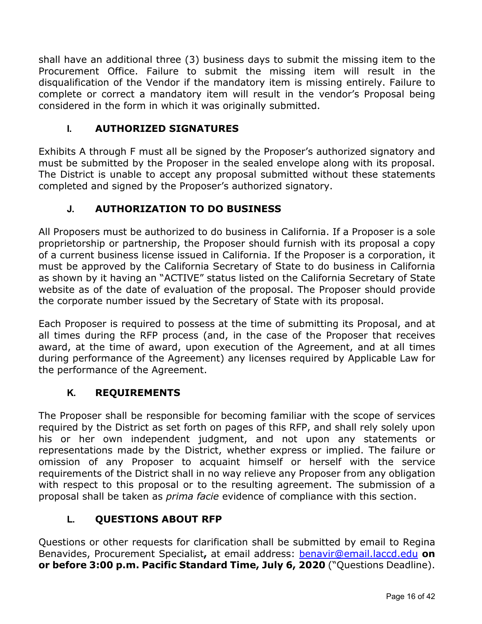shall have an additional three (3) business days to submit the missing item to the Procurement Office. Failure to submit the missing item will result in the disqualification of the Vendor if the mandatory item is missing entirely. Failure to complete or correct a mandatory item will result in the vendor's Proposal being considered in the form in which it was originally submitted.

## **I. AUTHORIZED SIGNATURES**

Exhibits A through F must all be signed by the Proposer's authorized signatory and must be submitted by the Proposer in the sealed envelope along with its proposal. The District is unable to accept any proposal submitted without these statements completed and signed by the Proposer's authorized signatory.

## **J. AUTHORIZATION TO DO BUSINESS**

All Proposers must be authorized to do business in California. If a Proposer is a sole proprietorship or partnership, the Proposer should furnish with its proposal a copy of a current business license issued in California. If the Proposer is a corporation, it must be approved by the California Secretary of State to do business in California as shown by it having an "ACTIVE" status listed on the California Secretary of State website as of the date of evaluation of the proposal. The Proposer should provide the corporate number issued by the Secretary of State with its proposal.

Each Proposer is required to possess at the time of submitting its Proposal, and at all times during the RFP process (and, in the case of the Proposer that receives award, at the time of award, upon execution of the Agreement, and at all times during performance of the Agreement) any licenses required by Applicable Law for the performance of the Agreement.

## **K. REQUIREMENTS**

The Proposer shall be responsible for becoming familiar with the scope of services required by the District as set forth on pages of this RFP, and shall rely solely upon his or her own independent judgment, and not upon any statements or representations made by the District, whether express or implied. The failure or omission of any Proposer to acquaint himself or herself with the service requirements of the District shall in no way relieve any Proposer from any obligation with respect to this proposal or to the resulting agreement. The submission of a proposal shall be taken as *prima facie* evidence of compliance with this section.

## **L. QUESTIONS ABOUT RFP**

Questions or other requests for clarification shall be submitted by email to Regina Benavides, Procurement Specialist**,** at email address: [benavir@email.laccd.edu](mailto:benavir@email.laccd.edu) **on or before 3:00 p.m. Pacific Standard Time, July 6, 2020** ("Questions Deadline).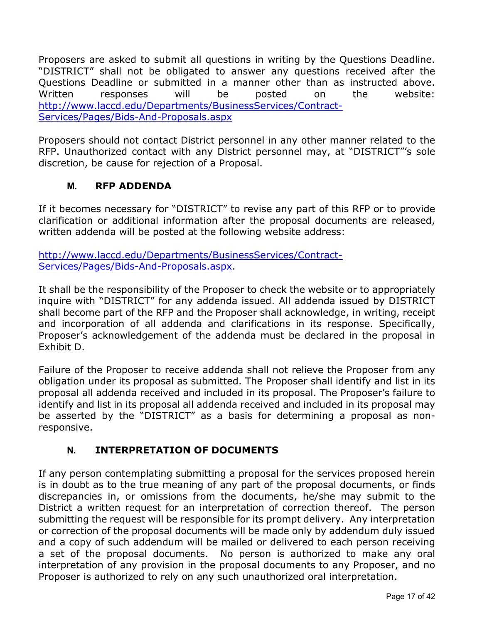Proposers are asked to submit all questions in writing by the Questions Deadline. "DISTRICT" shall not be obligated to answer any questions received after the Questions Deadline or submitted in a manner other than as instructed above. Written responses will be posted on the website: [http://www.laccd.edu/Departments/BusinessServices/Contract-](http://www.laccd.edu/Departments/BusinessServices/Contract-Services/Pages/Bids-And-Proposals.aspx)[Services/Pages/Bids-And-Proposals.aspx](http://www.laccd.edu/Departments/BusinessServices/Contract-Services/Pages/Bids-And-Proposals.aspx)

Proposers should not contact District personnel in any other manner related to the RFP. Unauthorized contact with any District personnel may, at "DISTRICT"'s sole discretion, be cause for rejection of a Proposal.

#### **M. RFP ADDENDA**

If it becomes necessary for "DISTRICT" to revise any part of this RFP or to provide clarification or additional information after the proposal documents are released, written addenda will be posted at the following website address:

[http://www.laccd.edu/Departments/BusinessServices/Contract-](http://www.laccd.edu/Departments/BusinessServices/Contract-Services/Pages/Bids-And-Proposals.aspx)[Services/Pages/Bids-And-Proposals.aspx.](http://www.laccd.edu/Departments/BusinessServices/Contract-Services/Pages/Bids-And-Proposals.aspx)

It shall be the responsibility of the Proposer to check the website or to appropriately inquire with "DISTRICT" for any addenda issued. All addenda issued by DISTRICT shall become part of the RFP and the Proposer shall acknowledge, in writing, receipt and incorporation of all addenda and clarifications in its response. Specifically, Proposer's acknowledgement of the addenda must be declared in the proposal in Exhibit D.

Failure of the Proposer to receive addenda shall not relieve the Proposer from any obligation under its proposal as submitted. The Proposer shall identify and list in its proposal all addenda received and included in its proposal. The Proposer's failure to identify and list in its proposal all addenda received and included in its proposal may be asserted by the "DISTRICT" as a basis for determining a proposal as nonresponsive.

## **N. INTERPRETATION OF DOCUMENTS**

If any person contemplating submitting a proposal for the services proposed herein is in doubt as to the true meaning of any part of the proposal documents, or finds discrepancies in, or omissions from the documents, he/she may submit to the District a written request for an interpretation of correction thereof. The person submitting the request will be responsible for its prompt delivery. Any interpretation or correction of the proposal documents will be made only by addendum duly issued and a copy of such addendum will be mailed or delivered to each person receiving a set of the proposal documents. No person is authorized to make any oral interpretation of any provision in the proposal documents to any Proposer, and no Proposer is authorized to rely on any such unauthorized oral interpretation.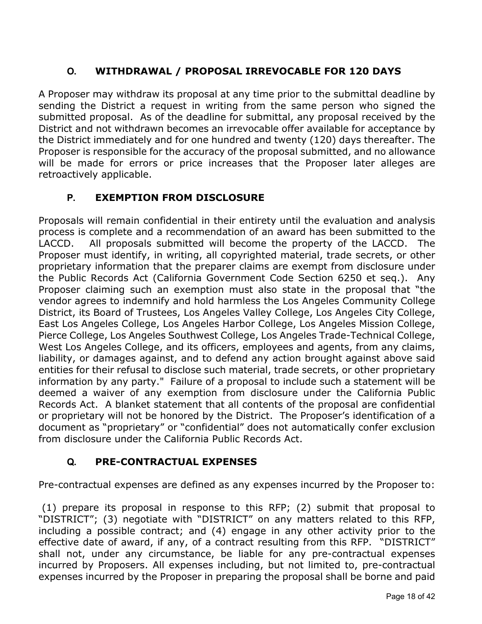# **O. WITHDRAWAL / PROPOSAL IRREVOCABLE FOR 120 DAYS**

A Proposer may withdraw its proposal at any time prior to the submittal deadline by sending the District a request in writing from the same person who signed the submitted proposal. As of the deadline for submittal, any proposal received by the District and not withdrawn becomes an irrevocable offer available for acceptance by the District immediately and for one hundred and twenty (120) days thereafter. The Proposer is responsible for the accuracy of the proposal submitted, and no allowance will be made for errors or price increases that the Proposer later alleges are retroactively applicable.

## **P. EXEMPTION FROM DISCLOSURE**

Proposals will remain confidential in their entirety until the evaluation and analysis process is complete and a recommendation of an award has been submitted to the LACCD. All proposals submitted will become the property of the LACCD. The Proposer must identify, in writing, all copyrighted material, trade secrets, or other proprietary information that the preparer claims are exempt from disclosure under the Public Records Act (California Government Code Section 6250 et seq.). Any Proposer claiming such an exemption must also state in the proposal that "the vendor agrees to indemnify and hold harmless the Los Angeles Community College District, its Board of Trustees, Los Angeles Valley College, Los Angeles City College, East Los Angeles College, Los Angeles Harbor College, Los Angeles Mission College, Pierce College, Los Angeles Southwest College, Los Angeles Trade-Technical College, West Los Angeles College, and its officers, employees and agents, from any claims, liability, or damages against, and to defend any action brought against above said entities for their refusal to disclose such material, trade secrets, or other proprietary information by any party." Failure of a proposal to include such a statement will be deemed a waiver of any exemption from disclosure under the California Public Records Act. A blanket statement that all contents of the proposal are confidential or proprietary will not be honored by the District. The Proposer's identification of a document as "proprietary" or "confidential" does not automatically confer exclusion from disclosure under the California Public Records Act.

# **Q. PRE-CONTRACTUAL EXPENSES**

Pre-contractual expenses are defined as any expenses incurred by the Proposer to:

(1) prepare its proposal in response to this RFP; (2) submit that proposal to "DISTRICT"; (3) negotiate with "DISTRICT" on any matters related to this RFP, including a possible contract; and (4) engage in any other activity prior to the effective date of award, if any, of a contract resulting from this RFP. "DISTRICT" shall not, under any circumstance, be liable for any pre-contractual expenses incurred by Proposers. All expenses including, but not limited to, pre-contractual expenses incurred by the Proposer in preparing the proposal shall be borne and paid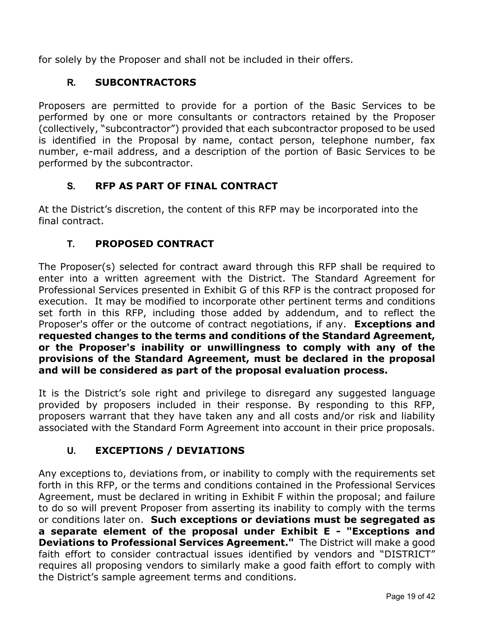for solely by the Proposer and shall not be included in their offers.

## **R. SUBCONTRACTORS**

Proposers are permitted to provide for a portion of the Basic Services to be performed by one or more consultants or contractors retained by the Proposer (collectively, "subcontractor") provided that each subcontractor proposed to be used is identified in the Proposal by name, contact person, telephone number, fax number, e-mail address, and a description of the portion of Basic Services to be performed by the subcontractor.

## **S. RFP AS PART OF FINAL CONTRACT**

At the District's discretion, the content of this RFP may be incorporated into the final contract.

## **T. PROPOSED CONTRACT**

The Proposer(s) selected for contract award through this RFP shall be required to enter into a written agreement with the District. The Standard Agreement for Professional Services presented in Exhibit G of this RFP is the contract proposed for execution. It may be modified to incorporate other pertinent terms and conditions set forth in this RFP, including those added by addendum, and to reflect the Proposer's offer or the outcome of contract negotiations, if any. **Exceptions and requested changes to the terms and conditions of the Standard Agreement, or the Proposer's inability or unwillingness to comply with any of the provisions of the Standard Agreement, must be declared in the proposal and will be considered as part of the proposal evaluation process.**

It is the District's sole right and privilege to disregard any suggested language provided by proposers included in their response. By responding to this RFP, proposers warrant that they have taken any and all costs and/or risk and liability associated with the Standard Form Agreement into account in their price proposals.

# **U. EXCEPTIONS / DEVIATIONS**

Any exceptions to, deviations from, or inability to comply with the requirements set forth in this RFP, or the terms and conditions contained in the Professional Services Agreement, must be declared in writing in Exhibit F within the proposal; and failure to do so will prevent Proposer from asserting its inability to comply with the terms or conditions later on. **Such exceptions or deviations must be segregated as a separate element of the proposal under Exhibit E - "Exceptions and Deviations to Professional Services Agreement."** The District will make a good faith effort to consider contractual issues identified by vendors and "DISTRICT" requires all proposing vendors to similarly make a good faith effort to comply with the District's sample agreement terms and conditions.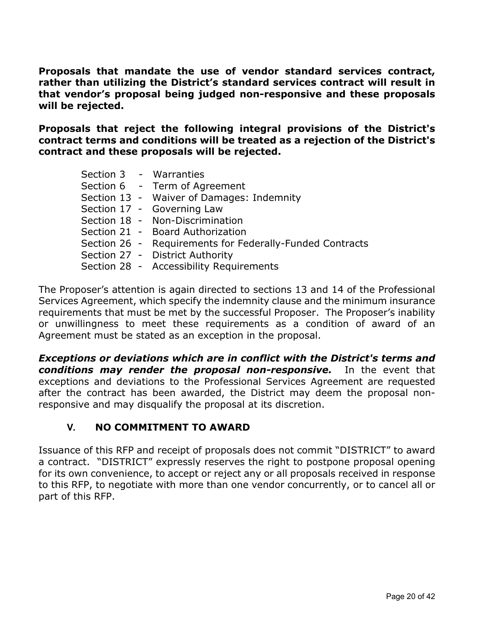**Proposals that mandate the use of vendor standard services contract, rather than utilizing the District's standard services contract will result in that vendor's proposal being judged non-responsive and these proposals will be rejected.** 

**Proposals that reject the following integral provisions of the District's contract terms and conditions will be treated as a rejection of the District's contract and these proposals will be rejected.**

|  | Section 3 - Warranties                                   |
|--|----------------------------------------------------------|
|  | Section 6 - Term of Agreement                            |
|  | Section 13 - Waiver of Damages: Indemnity                |
|  | Section 17 - Governing Law                               |
|  | Section 18 - Non-Discrimination                          |
|  | Section 21 - Board Authorization                         |
|  | Section 26 - Requirements for Federally-Funded Contracts |
|  | Section 27 - District Authority                          |
|  | Section 28 - Accessibility Requirements                  |

The Proposer's attention is again directed to sections 13 and 14 of the Professional Services Agreement, which specify the indemnity clause and the minimum insurance requirements that must be met by the successful Proposer. The Proposer's inability or unwillingness to meet these requirements as a condition of award of an Agreement must be stated as an exception in the proposal.

*Exceptions or deviations which are in conflict with the District's terms and conditions may render the proposal non-responsive.* In the event that exceptions and deviations to the Professional Services Agreement are requested after the contract has been awarded, the District may deem the proposal nonresponsive and may disqualify the proposal at its discretion.

## **V. NO COMMITMENT TO AWARD**

Issuance of this RFP and receipt of proposals does not commit "DISTRICT" to award a contract. "DISTRICT" expressly reserves the right to postpone proposal opening for its own convenience, to accept or reject any or all proposals received in response to this RFP, to negotiate with more than one vendor concurrently, or to cancel all or part of this RFP.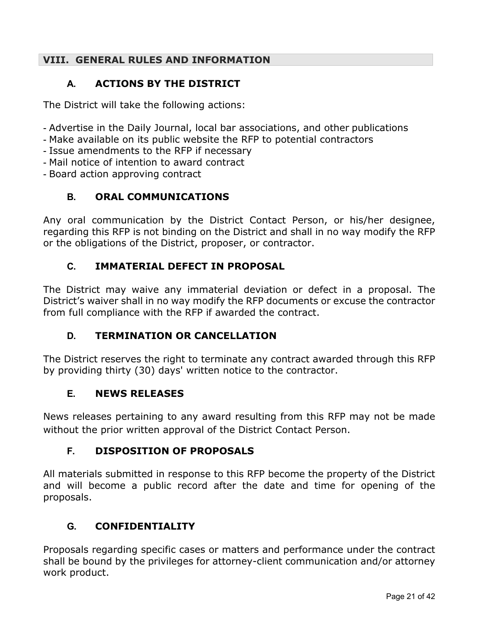#### **VIII. GENERAL RULES AND INFORMATION**

## **A. ACTIONS BY THE DISTRICT**

The District will take the following actions:

- Advertise in the Daily Journal, local bar associations, and other publications
- Make available on its public website the RFP to potential contractors
- Issue amendments to the RFP if necessary
- Mail notice of intention to award contract
- Board action approving contract

## **B. ORAL COMMUNICATIONS**

Any oral communication by the District Contact Person, or his/her designee, regarding this RFP is not binding on the District and shall in no way modify the RFP or the obligations of the District, proposer, or contractor.

## **C. IMMATERIAL DEFECT IN PROPOSAL**

The District may waive any immaterial deviation or defect in a proposal. The District's waiver shall in no way modify the RFP documents or excuse the contractor from full compliance with the RFP if awarded the contract.

## **D. TERMINATION OR CANCELLATION**

The District reserves the right to terminate any contract awarded through this RFP by providing thirty (30) days' written notice to the contractor.

## **E. NEWS RELEASES**

News releases pertaining to any award resulting from this RFP may not be made without the prior written approval of the District Contact Person.

## **F. DISPOSITION OF PROPOSALS**

All materials submitted in response to this RFP become the property of the District and will become a public record after the date and time for opening of the proposals.

## **G. CONFIDENTIALITY**

Proposals regarding specific cases or matters and performance under the contract shall be bound by the privileges for attorney-client communication and/or attorney work product.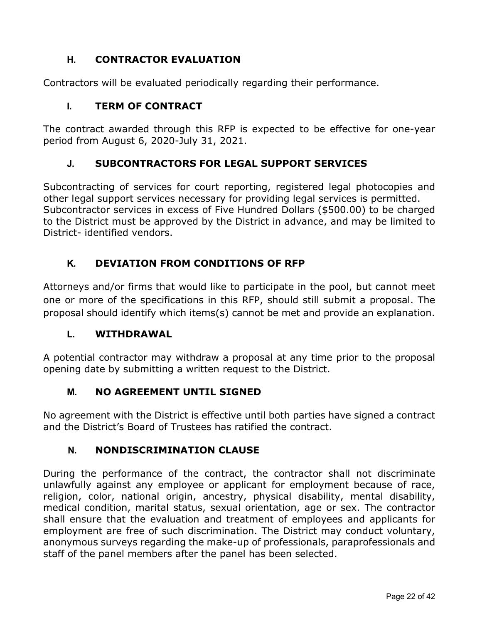## **H. CONTRACTOR EVALUATION**

Contractors will be evaluated periodically regarding their performance.

## **I. TERM OF CONTRACT**

The contract awarded through this RFP is expected to be effective for one-year period from August 6, 2020-July 31, 2021.

## **J. SUBCONTRACTORS FOR LEGAL SUPPORT SERVICES**

Subcontracting of services for court reporting, registered legal photocopies and other legal support services necessary for providing legal services is permitted. Subcontractor services in excess of Five Hundred Dollars (\$500.00) to be charged to the District must be approved by the District in advance, and may be limited to District- identified vendors.

## **K. DEVIATION FROM CONDITIONS OF RFP**

Attorneys and/or firms that would like to participate in the pool, but cannot meet one or more of the specifications in this RFP, should still submit a proposal. The proposal should identify which items(s) cannot be met and provide an explanation.

#### **L. WITHDRAWAL**

A potential contractor may withdraw a proposal at any time prior to the proposal opening date by submitting a written request to the District.

## **M. NO AGREEMENT UNTIL SIGNED**

No agreement with the District is effective until both parties have signed a contract and the District's Board of Trustees has ratified the contract.

## **N. NONDISCRIMINATION CLAUSE**

During the performance of the contract, the contractor shall not discriminate unlawfully against any employee or applicant for employment because of race, religion, color, national origin, ancestry, physical disability, mental disability, medical condition, marital status, sexual orientation, age or sex. The contractor shall ensure that the evaluation and treatment of employees and applicants for employment are free of such discrimination. The District may conduct voluntary, anonymous surveys regarding the make-up of professionals, paraprofessionals and staff of the panel members after the panel has been selected.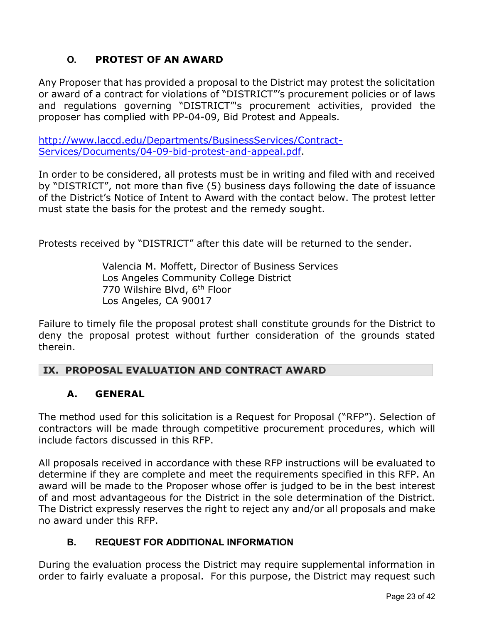# **O. PROTEST OF AN AWARD**

Any Proposer that has provided a proposal to the District may protest the solicitation or award of a contract for violations of "DISTRICT"'s procurement policies or of laws and regulations governing "DISTRICT"'s procurement activities, provided the proposer has complied with PP-04-09, Bid Protest and Appeals.

[http://www.laccd.edu/Departments/BusinessServices/Contract-](http://www.laccd.edu/Departments/BusinessServices/Contract-Services/Documents/04-09-bid-protest-and-appeal.pdf)[Services/Documents/04-09-bid-protest-and-appeal.pdf.](http://www.laccd.edu/Departments/BusinessServices/Contract-Services/Documents/04-09-bid-protest-and-appeal.pdf)

In order to be considered, all protests must be in writing and filed with and received by "DISTRICT", not more than five (5) business days following the date of issuance of the District's Notice of Intent to Award with the contact below. The protest letter must state the basis for the protest and the remedy sought.

Protests received by "DISTRICT" after this date will be returned to the sender.

Valencia M. Moffett, Director of Business Services Los Angeles Community College District 770 Wilshire Blvd, 6th Floor Los Angeles, CA 90017

Failure to timely file the proposal protest shall constitute grounds for the District to deny the proposal protest without further consideration of the grounds stated therein.

## **IX. PROPOSAL EVALUATION AND CONTRACT AWARD**

#### **A. GENERAL**

The method used for this solicitation is a Request for Proposal ("RFP"). Selection of contractors will be made through competitive procurement procedures, which will include factors discussed in this RFP.

All proposals received in accordance with these RFP instructions will be evaluated to determine if they are complete and meet the requirements specified in this RFP. An award will be made to the Proposer whose offer is judged to be in the best interest of and most advantageous for the District in the sole determination of the District. The District expressly reserves the right to reject any and/or all proposals and make no award under this RFP.

#### **B. REQUEST FOR ADDITIONAL INFORMATION**

During the evaluation process the District may require supplemental information in order to fairly evaluate a proposal. For this purpose, the District may request such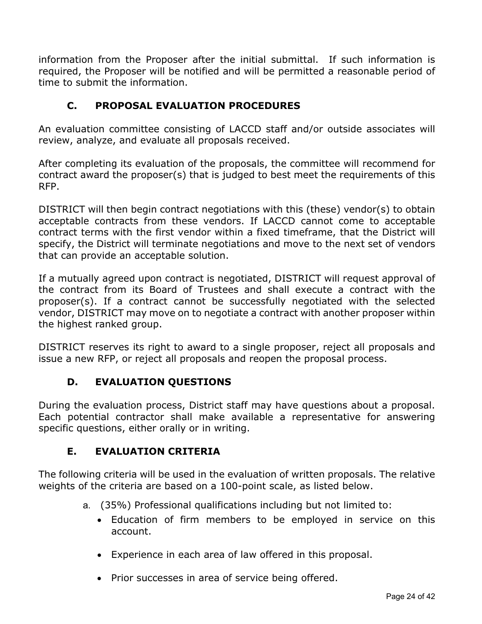information from the Proposer after the initial submittal. If such information is required, the Proposer will be notified and will be permitted a reasonable period of time to submit the information.

## **C. PROPOSAL EVALUATION PROCEDURES**

An evaluation committee consisting of LACCD staff and/or outside associates will review, analyze, and evaluate all proposals received.

After completing its evaluation of the proposals, the committee will recommend for contract award the proposer(s) that is judged to best meet the requirements of this RFP.

DISTRICT will then begin contract negotiations with this (these) vendor(s) to obtain acceptable contracts from these vendors. If LACCD cannot come to acceptable contract terms with the first vendor within a fixed timeframe, that the District will specify, the District will terminate negotiations and move to the next set of vendors that can provide an acceptable solution.

If a mutually agreed upon contract is negotiated, DISTRICT will request approval of the contract from its Board of Trustees and shall execute a contract with the proposer(s). If a contract cannot be successfully negotiated with the selected vendor, DISTRICT may move on to negotiate a contract with another proposer within the highest ranked group.

DISTRICT reserves its right to award to a single proposer, reject all proposals and issue a new RFP, or reject all proposals and reopen the proposal process.

# **D. EVALUATION QUESTIONS**

During the evaluation process, District staff may have questions about a proposal. Each potential contractor shall make available a representative for answering specific questions, either orally or in writing.

# **E. EVALUATION CRITERIA**

The following criteria will be used in the evaluation of written proposals. The relative weights of the criteria are based on a 100-point scale, as listed below.

- a. (35%) Professional qualifications including but not limited to:
	- Education of firm members to be employed in service on this account.
	- Experience in each area of law offered in this proposal.
	- Prior successes in area of service being offered.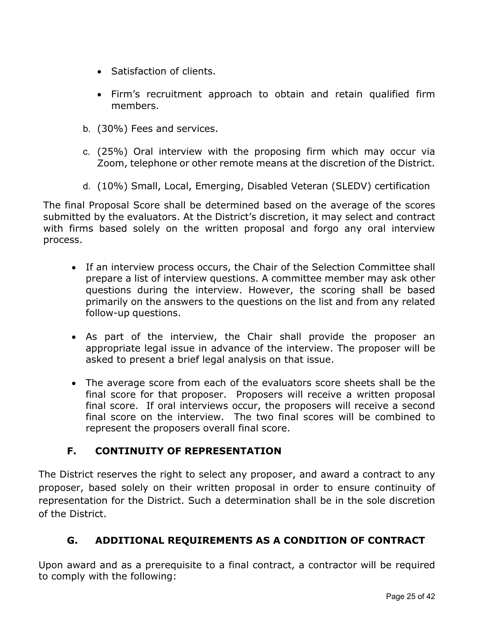- Satisfaction of clients.
- Firm's recruitment approach to obtain and retain qualified firm members.
- b. (30%) Fees and services.
- c. (25%) Oral interview with the proposing firm which may occur via Zoom, telephone or other remote means at the discretion of the District.
- d. (10%) Small, Local, Emerging, Disabled Veteran (SLEDV) certification

The final Proposal Score shall be determined based on the average of the scores submitted by the evaluators. At the District's discretion, it may select and contract with firms based solely on the written proposal and forgo any oral interview process.

- If an interview process occurs, the Chair of the Selection Committee shall prepare a list of interview questions. A committee member may ask other questions during the interview. However, the scoring shall be based primarily on the answers to the questions on the list and from any related follow-up questions.
- As part of the interview, the Chair shall provide the proposer an appropriate legal issue in advance of the interview. The proposer will be asked to present a brief legal analysis on that issue.
- The average score from each of the evaluators score sheets shall be the final score for that proposer. Proposers will receive a written proposal final score. If oral interviews occur, the proposers will receive a second final score on the interview. The two final scores will be combined to represent the proposers overall final score.

## **F. CONTINUITY OF REPRESENTATION**

The District reserves the right to select any proposer, and award a contract to any proposer, based solely on their written proposal in order to ensure continuity of representation for the District. Such a determination shall be in the sole discretion of the District.

## **G. ADDITIONAL REQUIREMENTS AS A CONDITION OF CONTRACT**

Upon award and as a prerequisite to a final contract, a contractor will be required to comply with the following: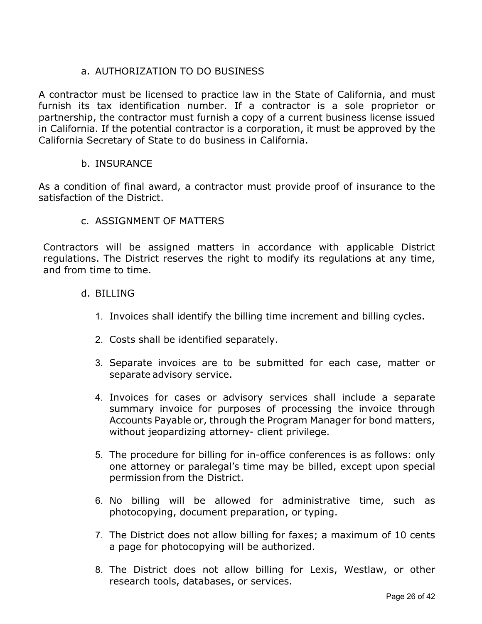## a. AUTHORIZATION TO DO BUSINESS

A contractor must be licensed to practice law in the State of California, and must furnish its tax identification number. If a contractor is a sole proprietor or partnership, the contractor must furnish a copy of a current business license issued in California. If the potential contractor is a corporation, it must be approved by the California Secretary of State to do business in California.

#### b. INSURANCE

As a condition of final award, a contractor must provide proof of insurance to the satisfaction of the District.

#### c. ASSIGNMENT OF MATTERS

Contractors will be assigned matters in accordance with applicable District regulations. The District reserves the right to modify its regulations at any time, and from time to time.

#### d. BILLING

- 1. Invoices shall identify the billing time increment and billing cycles.
- 2. Costs shall be identified separately.
- 3. Separate invoices are to be submitted for each case, matter or separate advisory service.
- 4. Invoices for cases or advisory services shall include a separate summary invoice for purposes of processing the invoice through Accounts Payable or, through the Program Manager for bond matters, without jeopardizing attorney- client privilege.
- 5. The procedure for billing for in-office conferences is as follows: only one attorney or paralegal's time may be billed, except upon special permission from the District.
- 6. No billing will be allowed for administrative time, such as photocopying, document preparation, or typing.
- 7. The District does not allow billing for faxes; a maximum of 10 cents a page for photocopying will be authorized.
- 8. The District does not allow billing for Lexis, Westlaw, or other research tools, databases, or services.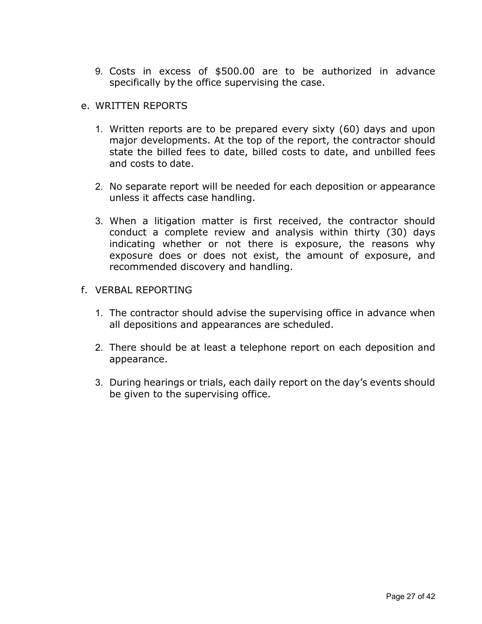9. Costs in excess of \$500.00 are to be authorized in advance specifically by the office supervising the case.

#### e. WRITTEN REPORTS

- 1. Written reports are to be prepared every sixty (60) days and upon major developments. At the top of the report, the contractor should state the billed fees to date, billed costs to date, and unbilled fees and costs to date.
- 2. No separate report will be needed for each deposition or appearance unless it affects case handling.
- 3. When a litigation matter is first received, the contractor should conduct a complete review and analysis within thirty (30) days indicating whether or not there is exposure, the reasons why exposure does or does not exist, the amount of exposure, and recommended discovery and handling.

#### f. VERBAL REPORTING

- 1. The contractor should advise the supervising office in advance when all depositions and appearances are scheduled.
- 2. There should be at least a telephone report on each deposition and appearance.
- 3. During hearings or trials, each daily report on the day's events should be given to the supervising office.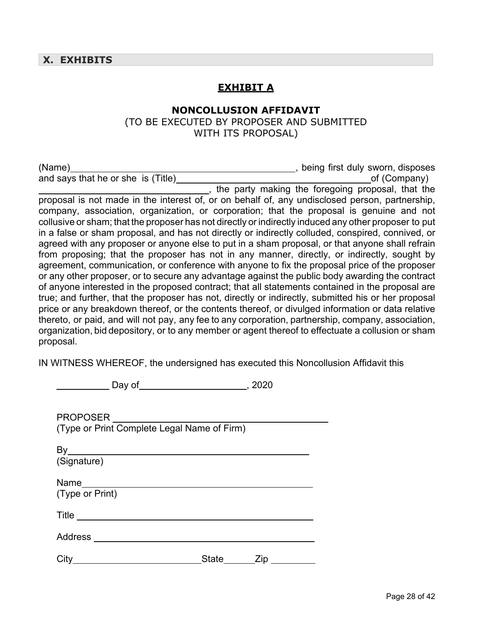#### **EXHIBIT A**

#### **NONCOLLUSION AFFIDAVIT**

(TO BE EXECUTED BY PROPOSER AND SUBMITTED WITH ITS PROPOSAL)

| (Name)                             | being first duly sworn, disposes |              |
|------------------------------------|----------------------------------|--------------|
| and says that he or she is (Title) |                                  | of (Company) |

, the party making the foregoing proposal, that the proposal is not made in the interest of, or on behalf of, any undisclosed person, partnership, company, association, organization, or corporation; that the proposal is genuine and not collusive or sham; that the proposer has not directly or indirectly induced any other proposer to put in a false or sham proposal, and has not directly or indirectly colluded, conspired, connived, or agreed with any proposer or anyone else to put in a sham proposal, or that anyone shall refrain from proposing; that the proposer has not in any manner, directly, or indirectly, sought by agreement, communication, or conference with anyone to fix the proposal price of the proposer or any other proposer, or to secure any advantage against the public body awarding the contract of anyone interested in the proposed contract; that all statements contained in the proposal are true; and further, that the proposer has not, directly or indirectly, submitted his or her proposal price or any breakdown thereof, or the contents thereof, or divulged information or data relative thereto, or paid, and will not pay, any fee to any corporation, partnership, company, association, organization, bid depository, or to any member or agent thereof to effectuate a collusion or sham proposal.

IN WITNESS WHEREOF, the undersigned has executed this Noncollusion Affidavit this

Day of , 2020

| PROPOSER                                              | (Type or Print Complete Legal Name of Firm) |     |
|-------------------------------------------------------|---------------------------------------------|-----|
| (Signature)                                           |                                             |     |
| Name______________________________<br>(Type or Print) |                                             |     |
| Title _________________________                       |                                             |     |
| Address ___________________________                   |                                             |     |
| City                                                  | State                                       | Zip |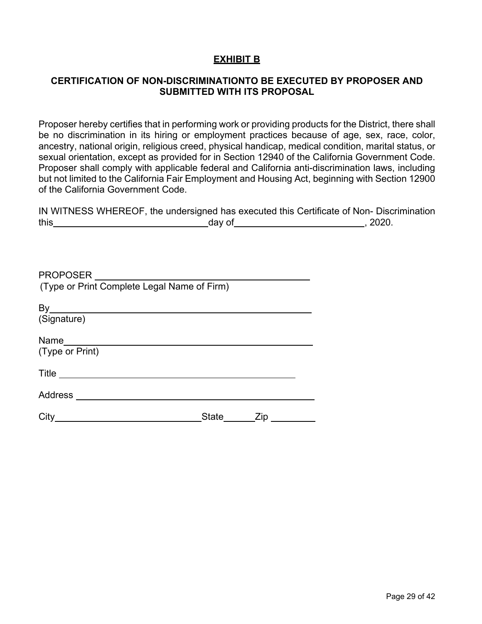#### **EXHIBIT B**

#### **CERTIFICATION OF NON-DISCRIMINATIONTO BE EXECUTED BY PROPOSER AND SUBMITTED WITH ITS PROPOSAL**

Proposer hereby certifies that in performing work or providing products for the District, there shall be no discrimination in its hiring or employment practices because of age, sex, race, color, ancestry, national origin, religious creed, physical handicap, medical condition, marital status, or sexual orientation, except as provided for in Section 12940 of the California Government Code. Proposer shall comply with applicable federal and California anti-discrimination laws, including but not limited to the California Fair Employment and Housing Act, beginning with Section 12900 of the California Government Code.

|      | IN WITNESS WHEREOF, the undersigned has executed this Certificate of Non- Discrimination |       |
|------|------------------------------------------------------------------------------------------|-------|
| this | dav of                                                                                   | 2020. |

| <b>PROPOSER</b><br>$\overline{\phantom{a}}$ and $\overline{\phantom{a}}$ and $\overline{\phantom{a}}$<br>(Type or Print Complete Legal Name of Firm) |            |     |
|------------------------------------------------------------------------------------------------------------------------------------------------------|------------|-----|
|                                                                                                                                                      |            |     |
| (Signature)                                                                                                                                          |            |     |
| Name___________________________<br>(Type or Print)                                                                                                   |            |     |
| $\mathsf{Title} \_\_$                                                                                                                                |            |     |
| Address                                                                                                                                              |            |     |
| City                                                                                                                                                 | State ____ | Zip |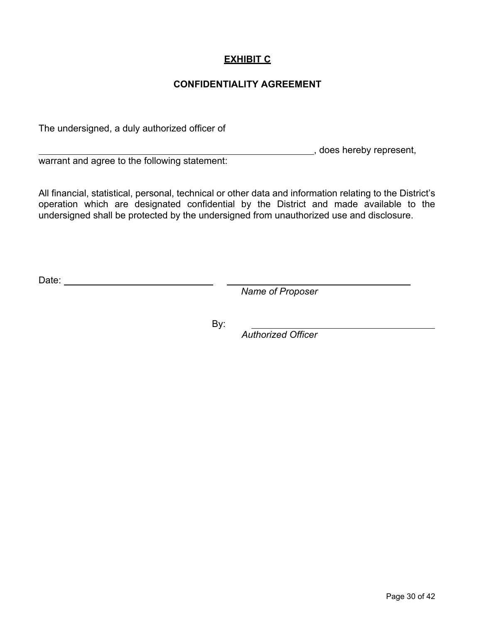#### **EXHIBIT C**

#### **CONFIDENTIALITY AGREEMENT**

The undersigned, a duly authorized officer of

**LECTE**, does hereby represent,

warrant and agree to the following statement:

All financial, statistical, personal, technical or other data and information relating to the District's operation which are designated confidential by the District and made available to the undersigned shall be protected by the undersigned from unauthorized use and disclosure.

Date: when the contract of the contract of the contract of the contract of the contract of the contract of the contract of the contract of the contract of the contract of the contract of the contract of the contract of the

*Name of Proposer*

By:

 $\overline{\phantom{a}}$ 

*Authorized Officer*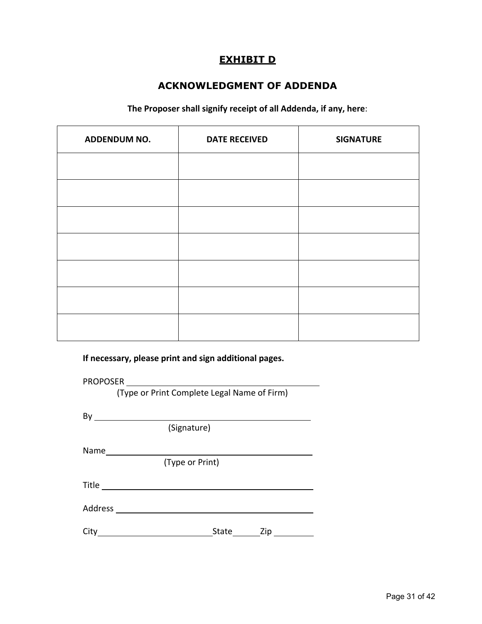# **EXHIBIT D**

#### **ACKNOWLEDGMENT OF ADDENDA**

**The Proposer shall signify receipt of all Addenda, if any, here**:

| ADDENDUM NO. | <b>DATE RECEIVED</b> | <b>SIGNATURE</b> |
|--------------|----------------------|------------------|
|              |                      |                  |
|              |                      |                  |
|              |                      |                  |
|              |                      |                  |
|              |                      |                  |
|              |                      |                  |
|              |                      |                  |

**If necessary, please print and sign additional pages.**

PROPOSER

(Type or Print Complete Legal Name of Firm)

By

(Signature)

Name

(Type or Print)

Title

Address

City State Zip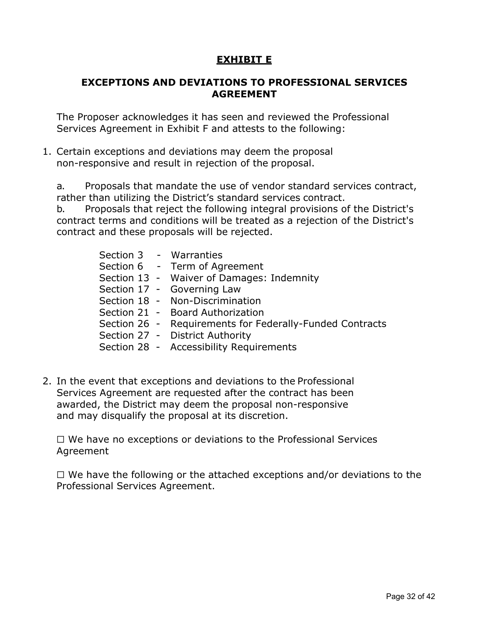#### **EXHIBIT E**

#### **EXCEPTIONS AND DEVIATIONS TO PROFESSIONAL SERVICES AGREEMENT**

The Proposer acknowledges it has seen and reviewed the Professional Services Agreement in Exhibit F and attests to the following:

1. Certain exceptions and deviations may deem the proposal non-responsive and result in rejection of the proposal.

a. Proposals that mandate the use of vendor standard services contract, rather than utilizing the District's standard services contract.

b. Proposals that reject the following integral provisions of the District's contract terms and conditions will be treated as a rejection of the District's contract and these proposals will be rejected.

|  | Section 3 - Warranties<br>Section 6 - Term of Agreement  |
|--|----------------------------------------------------------|
|  | Section 13 - Waiver of Damages: Indemnity                |
|  | Section 17 - Governing Law                               |
|  | Section 18 - Non-Discrimination                          |
|  | Section 21 - Board Authorization                         |
|  | Section 26 - Requirements for Federally-Funded Contracts |
|  | Section 27 - District Authority                          |
|  | Section 28 - Accessibility Requirements                  |
|  |                                                          |

2. In the event that exceptions and deviations to the Professional Services Agreement are requested after the contract has been awarded, the District may deem the proposal non-responsive and may disqualify the proposal at its discretion.

☐ We have no exceptions or deviations to the Professional Services Agreement

☐ We have the following or the attached exceptions and/or deviations to the Professional Services Agreement.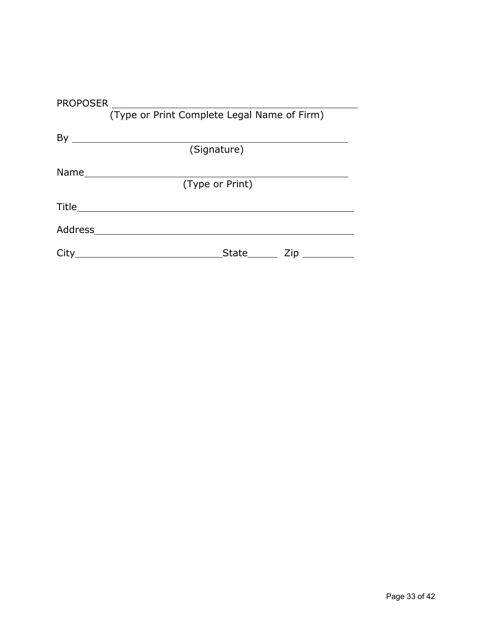|         | (Type or Print Complete Legal Name of Firm)                                                                          |
|---------|----------------------------------------------------------------------------------------------------------------------|
|         |                                                                                                                      |
|         |                                                                                                                      |
|         | (Signature)                                                                                                          |
|         |                                                                                                                      |
|         |                                                                                                                      |
|         | (Type or Print)                                                                                                      |
|         |                                                                                                                      |
|         |                                                                                                                      |
|         |                                                                                                                      |
| Address | <u> 1980 - Jan Samuel Barbara, martin da shekara 1980 - An tsara 1980 - An tsara 1980 - An tsara 1980 - An tsara</u> |
|         |                                                                                                                      |
| City    | $\mathsf{Zip} \_\_\_\_\_\_\$<br>State                                                                                |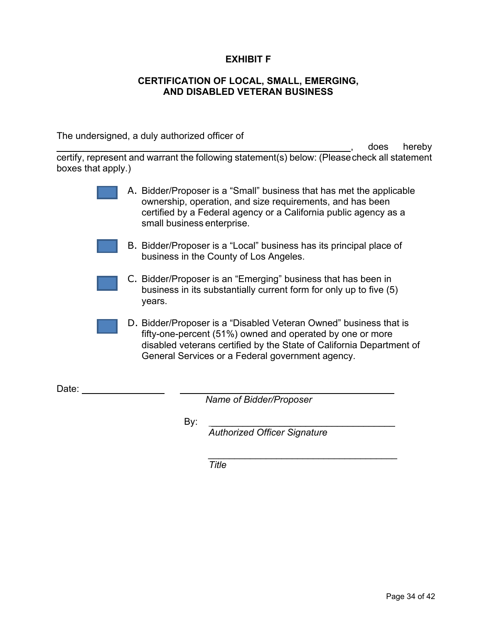#### **EXHIBIT F**

#### **CERTIFICATION OF LOCAL, SMALL, EMERGING, AND DISABLED VETERAN BUSINESS**

The undersigned, a duly authorized officer of

does hereby certify, represent and warrant the following statement(s) below: (Pleasecheck all statement boxes that apply.)

- A. Bidder/Proposer is a "Small" business that has met the applicable ownership, operation, and size requirements, and has been certified by a Federal agency or a California public agency as a small business enterprise.
- B. Bidder/Proposer is a "Local" business has its principal place of business in the County of Los Angeles.
- C. Bidder/Proposer is an "Emerging" business that has been in business in its substantially current form for only up to five (5) years.
- D. Bidder/Proposer is a "Disabled Veteran Owned" business that is fifty-one-percent (51%) owned and operated by one or more disabled veterans certified by the State of California Department of General Services or a Federal government agency.

Date:

*Name of Bidder/Proposer*

By: \_\_\_\_\_\_\_\_\_\_\_\_\_\_\_\_\_\_\_\_\_\_\_\_\_\_\_\_\_\_\_\_\_\_\_ *Authorized Officer Signature*

*\_\_\_\_\_\_\_\_\_\_\_\_\_\_\_\_\_\_\_\_\_\_\_\_\_\_\_\_\_\_\_\_\_\_\_\_*

*Title*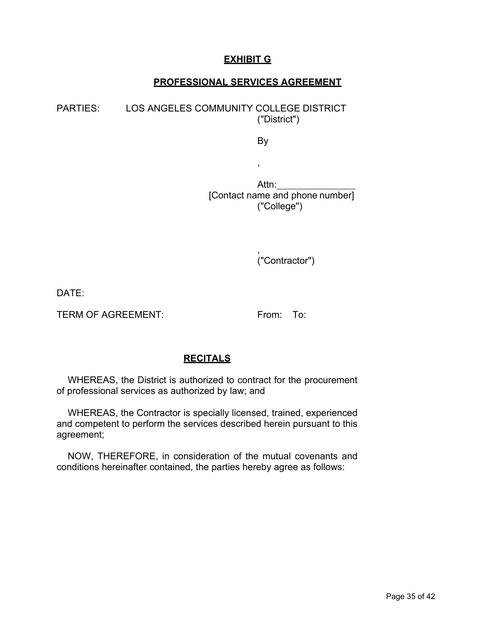#### **EXHIBIT G**

#### **PROFESSIONAL SERVICES AGREEMENT**

PARTIES: LOS ANGELES COMMUNITY COLLEGE DISTRICT ("District")

By

,

Attn: [Contact name and phone number] ("College")

> , ("Contractor")

DATE:

TERM OF AGREEMENT: From: To:

#### **RECITALS**

WHEREAS, the District is authorized to contract for the procurement of professional services as authorized by law; and

WHEREAS, the Contractor is specially licensed, trained, experienced and competent to perform the services described herein pursuant to this agreement;

NOW, THEREFORE, in consideration of the mutual covenants and conditions hereinafter contained, the parties hereby agree as follows: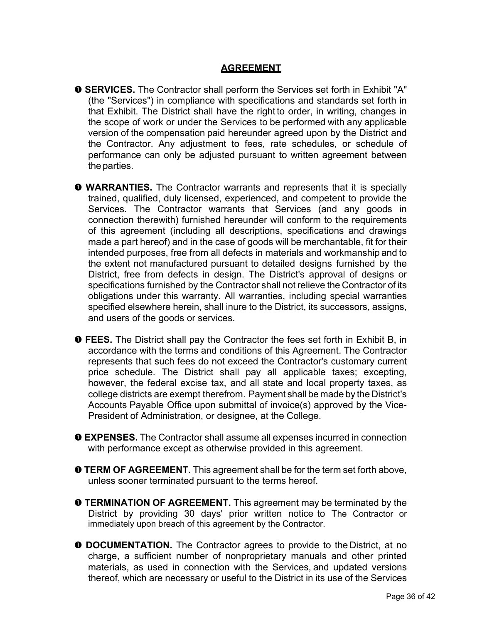#### **AGREEMENT**

- **SERVICES.** The Contractor shall perform the Services set forth in Exhibit "A" (the "Services") in compliance with specifications and standards set forth in that Exhibit. The District shall have the right to order, in writing, changes in the scope of work or under the Services to be performed with any applicable version of the compensation paid hereunder agreed upon by the District and the Contractor. Any adjustment to fees, rate schedules, or schedule of performance can only be adjusted pursuant to written agreement between the parties.
- **WARRANTIES.** The Contractor warrants and represents that it is specially trained, qualified, duly licensed, experienced, and competent to provide the Services. The Contractor warrants that Services (and any goods in connection therewith) furnished hereunder will conform to the requirements of this agreement (including all descriptions, specifications and drawings made a part hereof) and in the case of goods will be merchantable, fit for their intended purposes, free from all defects in materials and workmanship and to the extent not manufactured pursuant to detailed designs furnished by the District, free from defects in design. The District's approval of designs or specifications furnished by the Contractor shall not relieve the Contractor of its obligations under this warranty. All warranties, including special warranties specified elsewhere herein, shall inure to the District, its successors, assigns, and users of the goods or services.
- **FEES.** The District shall pay the Contractor the fees set forth in Exhibit B, in accordance with the terms and conditions of this Agreement. The Contractor represents that such fees do not exceed the Contractor's customary current price schedule. The District shall pay all applicable taxes; excepting, however, the federal excise tax, and all state and local property taxes, as college districts are exempt therefrom. Payment shall be made by the District's Accounts Payable Office upon submittal of invoice(s) approved by the Vice-President of Administration, or designee, at the College.
- **EXPENSES.** The Contractor shall assume all expenses incurred in connection with performance except as otherwise provided in this agreement.
- **O TERM OF AGREEMENT.** This agreement shall be for the term set forth above, unless sooner terminated pursuant to the terms hereof.
- **O TERMINATION OF AGREEMENT.** This agreement may be terminated by the District by providing 30 days' prior written notice to The Contractor or immediately upon breach of this agreement by the Contractor.
- **O DOCUMENTATION.** The Contractor agrees to provide to the District, at no charge, a sufficient number of nonproprietary manuals and other printed materials, as used in connection with the Services, and updated versions thereof, which are necessary or useful to the District in its use of the Services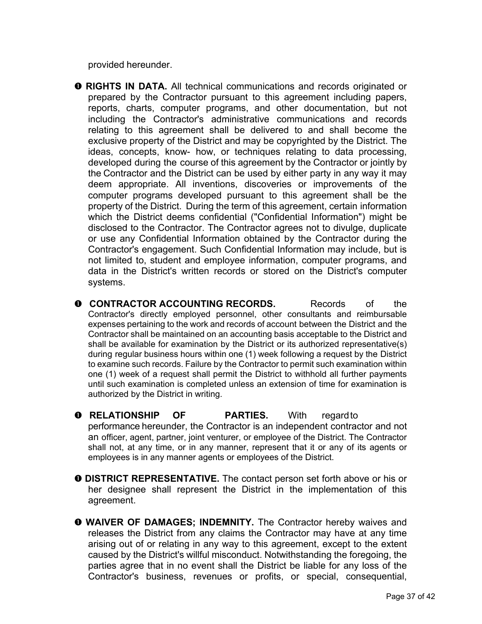provided hereunder.

- **RIGHTS IN DATA.** All technical communications and records originated or prepared by the Contractor pursuant to this agreement including papers, reports, charts, computer programs, and other documentation, but not including the Contractor's administrative communications and records relating to this agreement shall be delivered to and shall become the exclusive property of the District and may be copyrighted by the District. The ideas, concepts, know- how, or techniques relating to data processing, developed during the course of this agreement by the Contractor or jointly by the Contractor and the District can be used by either party in any way it may deem appropriate. All inventions, discoveries or improvements of the computer programs developed pursuant to this agreement shall be the property of the District. During the term of this agreement, certain information which the District deems confidential ("Confidential Information") might be disclosed to the Contractor. The Contractor agrees not to divulge, duplicate or use any Confidential Information obtained by the Contractor during the Contractor's engagement. Such Confidential Information may include, but is not limited to, student and employee information, computer programs, and data in the District's written records or stored on the District's computer systems.
- **Q CONTRACTOR ACCOUNTING RECORDS.** Records of the Contractor's directly employed personnel, other consultants and reimbursable expenses pertaining to the work and records of account between the District and the Contractor shall be maintained on an accounting basis acceptable to the District and shall be available for examination by the District or its authorized representative(s) during regular business hours within one (1) week following a request by the District to examine such records. Failure by the Contractor to permit such examination within one (1) week of a request shall permit the District to withhold all further payments until such examination is completed unless an extension of time for examination is authorized by the District in writing.
- **RELATIONSHIP OF PARTIES.** With regardto performance hereunder, the Contractor is an independent contractor and not an officer, agent, partner, joint venturer, or employee of the District. The Contractor shall not, at any time, or in any manner, represent that it or any of its agents or employees is in any manner agents or employees of the District.
- **DISTRICT REPRESENTATIVE.** The contact person set forth above or his or her designee shall represent the District in the implementation of this agreement.
- **WAIVER OF DAMAGES; INDEMNITY.** The Contractor hereby waives and releases the District from any claims the Contractor may have at any time arising out of or relating in any way to this agreement, except to the extent caused by the District's willful misconduct. Notwithstanding the foregoing, the parties agree that in no event shall the District be liable for any loss of the Contractor's business, revenues or profits, or special, consequential,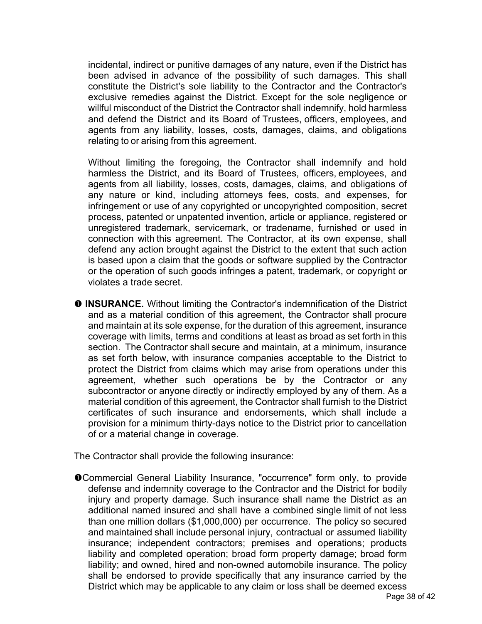incidental, indirect or punitive damages of any nature, even if the District has been advised in advance of the possibility of such damages. This shall constitute the District's sole liability to the Contractor and the Contractor's exclusive remedies against the District. Except for the sole negligence or willful misconduct of the District the Contractor shall indemnify, hold harmless and defend the District and its Board of Trustees, officers, employees, and agents from any liability, losses, costs, damages, claims, and obligations relating to or arising from this agreement.

Without limiting the foregoing, the Contractor shall indemnify and hold harmless the District, and its Board of Trustees, officers, employees, and agents from all liability, losses, costs, damages, claims, and obligations of any nature or kind, including attorneys fees, costs, and expenses, for infringement or use of any copyrighted or uncopyrighted composition, secret process, patented or unpatented invention, article or appliance, registered or unregistered trademark, servicemark, or tradename, furnished or used in connection with this agreement. The Contractor, at its own expense, shall defend any action brought against the District to the extent that such action is based upon a claim that the goods or software supplied by the Contractor or the operation of such goods infringes a patent, trademark, or copyright or violates a trade secret.

**O INSURANCE.** Without limiting the Contractor's indemnification of the District and as a material condition of this agreement, the Contractor shall procure and maintain at its sole expense, for the duration of this agreement, insurance coverage with limits, terms and conditions at least as broad as set forth in this section. The Contractor shall secure and maintain, at a minimum, insurance as set forth below, with insurance companies acceptable to the District to protect the District from claims which may arise from operations under this agreement, whether such operations be by the Contractor or any subcontractor or anyone directly or indirectly employed by any of them. As a material condition of this agreement, the Contractor shall furnish to the District certificates of such insurance and endorsements, which shall include a provision for a minimum thirty-days notice to the District prior to cancellation of or a material change in coverage.

The Contractor shall provide the following insurance:

Commercial General Liability Insurance, "occurrence" form only, to provide defense and indemnity coverage to the Contractor and the District for bodily injury and property damage. Such insurance shall name the District as an additional named insured and shall have a combined single limit of not less than one million dollars (\$1,000,000) per occurrence. The policy so secured and maintained shall include personal injury, contractual or assumed liability insurance; independent contractors; premises and operations; products liability and completed operation; broad form property damage; broad form liability; and owned, hired and non-owned automobile insurance. The policy shall be endorsed to provide specifically that any insurance carried by the District which may be applicable to any claim or loss shall be deemed excess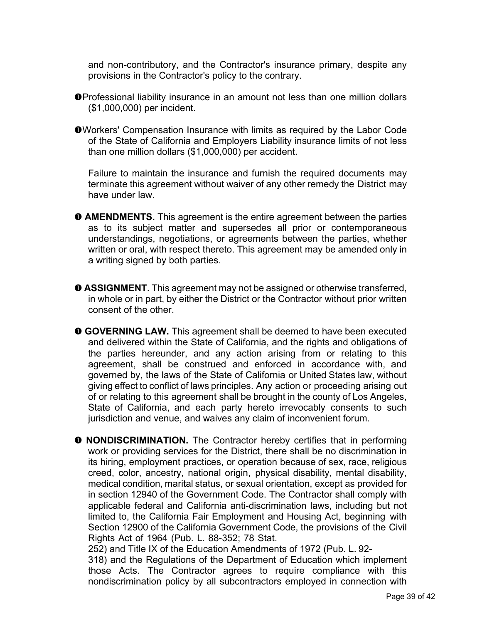and non-contributory, and the Contractor's insurance primary, despite any provisions in the Contractor's policy to the contrary.

- Professional liability insurance in an amount not less than one million dollars (\$1,000,000) per incident.
- Workers' Compensation Insurance with limits as required by the Labor Code of the State of California and Employers Liability insurance limits of not less than one million dollars (\$1,000,000) per accident.

Failure to maintain the insurance and furnish the required documents may terminate this agreement without waiver of any other remedy the District may have under law.

- **O AMENDMENTS.** This agreement is the entire agreement between the parties as to its subject matter and supersedes all prior or contemporaneous understandings, negotiations, or agreements between the parties, whether written or oral, with respect thereto. This agreement may be amended only in a writing signed by both parties.
- **ASSIGNMENT.** This agreement may not be assigned or otherwise transferred, in whole or in part, by either the District or the Contractor without prior written consent of the other.
- **GOVERNING LAW.** This agreement shall be deemed to have been executed and delivered within the State of California, and the rights and obligations of the parties hereunder, and any action arising from or relating to this agreement, shall be construed and enforced in accordance with, and governed by, the laws of the State of California or United States law, without giving effect to conflict of laws principles. Any action or proceeding arising out of or relating to this agreement shall be brought in the county of Los Angeles, State of California, and each party hereto irrevocably consents to such jurisdiction and venue, and waives any claim of inconvenient forum.
- **O NONDISCRIMINATION.** The Contractor hereby certifies that in performing work or providing services for the District, there shall be no discrimination in its hiring, employment practices, or operation because of sex, race, religious creed, color, ancestry, national origin, physical disability, mental disability, medical condition, marital status, or sexual orientation, except as provided for in section 12940 of the Government Code. The Contractor shall comply with applicable federal and California anti-discrimination laws, including but not limited to, the California Fair Employment and Housing Act, beginning with Section 12900 of the California Government Code, the provisions of the Civil Rights Act of 1964 (Pub. L. 88-352; 78 Stat.

252) and Title IX of the Education Amendments of 1972 (Pub. L. 92- 318) and the Regulations of the Department of Education which implement those Acts. The Contractor agrees to require compliance with this nondiscrimination policy by all subcontractors employed in connection with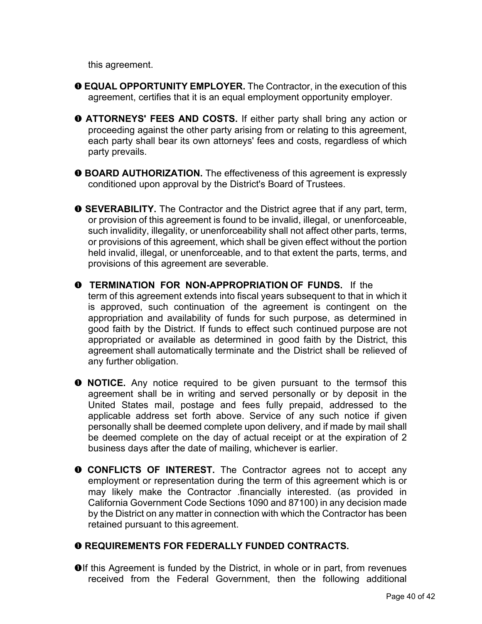this agreement.

- **EQUAL OPPORTUNITY EMPLOYER.** The Contractor, in the execution of this agreement, certifies that it is an equal employment opportunity employer.
- **ATTORNEYS' FEES AND COSTS.** If either party shall bring any action or proceeding against the other party arising from or relating to this agreement, each party shall bear its own attorneys' fees and costs, regardless of which party prevails.
- **O BOARD AUTHORIZATION.** The effectiveness of this agreement is expressly conditioned upon approval by the District's Board of Trustees.
- **SEVERABILITY.** The Contractor and the District agree that if any part, term, or provision of this agreement is found to be invalid, illegal, or unenforceable, such invalidity, illegality, or unenforceability shall not affect other parts, terms, or provisions of this agreement, which shall be given effect without the portion held invalid, illegal, or unenforceable, and to that extent the parts, terms, and provisions of this agreement are severable.
- **TERMINATION FOR NON-APPROPRIATION OF FUNDS.** If the term of this agreement extends into fiscal years subsequent to that in which it is approved, such continuation of the agreement is contingent on the appropriation and availability of funds for such purpose, as determined in good faith by the District. If funds to effect such continued purpose are not appropriated or available as determined in good faith by the District, this agreement shall automatically terminate and the District shall be relieved of any further obligation.
- $\bullet$  **NOTICE.** Any notice required to be given pursuant to the termsof this agreement shall be in writing and served personally or by deposit in the United States mail, postage and fees fully prepaid, addressed to the applicable address set forth above. Service of any such notice if given personally shall be deemed complete upon delivery, and if made by mail shall be deemed complete on the day of actual receipt or at the expiration of 2 business days after the date of mailing, whichever is earlier.
- **O CONFLICTS OF INTEREST.** The Contractor agrees not to accept any employment or representation during the term of this agreement which is or may likely make the Contractor .financially interested. (as provided in California Government Code Sections 1090 and 87100) in any decision made by the District on any matter in connection with which the Contractor has been retained pursuant to this agreement.

#### **REQUIREMENTS FOR FEDERALLY FUNDED CONTRACTS.**

**Olf this Agreement is funded by the District, in whole or in part, from revenues** received from the Federal Government, then the following additional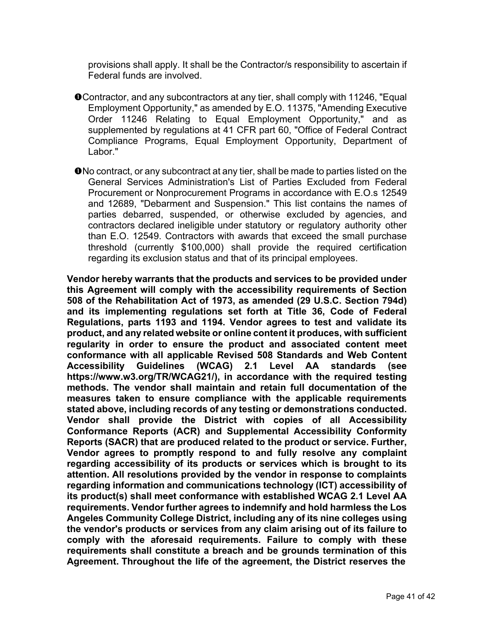provisions shall apply. It shall be the Contractor/s responsibility to ascertain if Federal funds are involved.

- Contractor, and any subcontractors at any tier, shall comply with 11246, "Equal Employment Opportunity," as amended by E.O. 11375, "Amending Executive Order 11246 Relating to Equal Employment Opportunity," and as supplemented by regulations at 41 CFR part 60, "Office of Federal Contract Compliance Programs, Equal Employment Opportunity, Department of Labor."
- No contract, or any subcontract at any tier, shall be made to parties listed on the General Services Administration's List of Parties Excluded from Federal Procurement or Nonprocurement Programs in accordance with E.O.s 12549 and 12689, "Debarment and Suspension." This list contains the names of parties debarred, suspended, or otherwise excluded by agencies, and contractors declared ineligible under statutory or regulatory authority other than E.O. 12549. Contractors with awards that exceed the small purchase threshold (currently \$100,000) shall provide the required certification regarding its exclusion status and that of its principal employees.

**Vendor hereby warrants that the products and services to be provided under this Agreement will comply with the accessibility requirements of Section 508 of the Rehabilitation Act of 1973, as amended (29 U.S.C. Section 794d) and its implementing regulations set forth at Title 36, Code of Federal Regulations, parts 1193 and 1194. Vendor agrees to test and validate its product, and any related website or online content it produces, with sufficient regularity in order to ensure the product and associated content meet conformance with all applicable Revised 508 Standards and Web Content Accessibility Guidelines (WCAG) 2.1 Level AA standards (see https:/[/www.w3.org/TR/WCAG21/\),](http://www.w3.org/TR/WCAG21/)) in accordance with the required testing methods. The vendor shall maintain and retain full documentation of the measures taken to ensure compliance with the applicable requirements stated above, including records of any testing or demonstrations conducted. Vendor shall provide the District with copies of all Accessibility Conformance Reports (ACR) and Supplemental Accessibility Conformity Reports (SACR) that are produced related to the product or service. Further, Vendor agrees to promptly respond to and fully resolve any complaint regarding accessibility of its products or services which is brought to its attention. All resolutions provided by the vendor in response to complaints regarding information and communications technology (ICT) accessibility of its product(s) shall meet conformance with established WCAG 2.1 Level AA requirements. Vendor further agrees to indemnify and hold harmless the Los Angeles Community College District, including any of its nine colleges using the vendor's products or services from any claim arising out of its failure to comply with the aforesaid requirements. Failure to comply with these requirements shall constitute a breach and be grounds termination of this Agreement. Throughout the life of the agreement, the District reserves the**